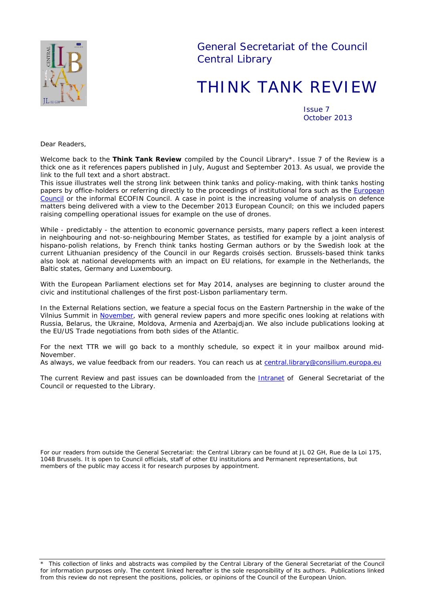

General Secretariat of the Council Central Library

# THINK TANK REVIEW

Issue 7 October 2013

*Dear Readers,*

*Welcome back to the Think Tank Review compiled by the Council Library\*. Issue 7 of the Review is a thick one as it references papers published in July, August and September 2013. As usual, we provide the link to the full text and a short abstract.*

*This issue illustrates well the strong link between think tanks and policy-making, with think tanks hosting*  papers by office-holders or referring directly to the proceedings of institutional fora such as the **European** [Council](http://register.consilium.europa.eu/pdf/en/13/st12/st12389.en13.pdf) *or the informal ECOFIN Council. A case in point is the increasing volume of analysis on defence matters being delivered with a view to the December 2013 European Council; on this we included papers raising compelling operational issues for example on the use of drones.*

*While - predictably - the attention to economic governance persists, many papers reflect a keen interest in neighbouring and not-so-neighbouring Member States, as testified for example by a joint analysis of hispano-polish relations, by French think tanks hosting German authors or by the Swedish look at the current Lithuanian presidency of the Council in our Regards croisés section. Brussels-based think tanks also look at national developments with an impact on EU relations, for example in the Netherlands, the Baltic states, Germany and Luxembourg.*

*With the European Parliament elections set for May 2014, analyses are beginning to cluster around the civic and institutional challenges of the first post-Lisbon parliamentary term.*

*In the External Relations section, we feature a special focus on the Eastern Partnership in the wake of the Vilnius Summit in* [November](http://www.eu2013.lt/en/vilnius-summit)*, with general review papers and more specific ones looking at relations with Russia, Belarus, the Ukraine, Moldova, Armenia and Azerbajdjan. We also include publications looking at the EU/US Trade negotiations from both sides of the Atlantic.*

*For the next TTR we will go back to a monthly schedule, so expect it in your mailbox around mid-November.*

As always, we value feedback from our readers. You can reach us at [central.library@consilium.europa.eu](mailto:central.library@consilium.europa.eu?subject=Think%20Tank%20Review)

The current Review and past issues can be downloaded from the **[Intranet](http://domus/biblio/divers/thinktank.html)** of General Secretariat of the *Council or requested to the Library.*

*For our readers from outside the General Secretariat: the Central Library can be found at JL 02 GH, Rue de la Loi 175, 1048 Brussels. It is open to Council officials, staff of other EU institutions and Permanent representations, but members of the public may access it for research purposes by appointment.*

\* This collection of links and abstracts was compiled by the Central Library of the General Secretariat of the Council for information purposes only. The content linked hereafter is the sole responsibility of its authors. Publications linked from this review do not represent the positions, policies, or opinions of the Council of the European Union.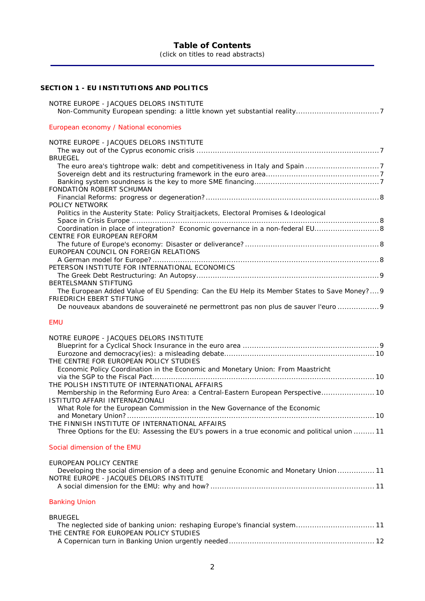# **Table of Contents**

(click on titles to read abstracts)

# **SECTION 1 - [EU INSTITUTIONS AND POLITICS](#page-6-0)**

| NOTRE EUROPE - JACQUES DELORS INSTITUTE                                                                                    |  |
|----------------------------------------------------------------------------------------------------------------------------|--|
| European economy / National economies                                                                                      |  |
| NOTRE EUROPE - JACQUES DELORS INSTITUTE                                                                                    |  |
| <b>BRUEGEL</b>                                                                                                             |  |
|                                                                                                                            |  |
|                                                                                                                            |  |
| FONDATION ROBERT SCHUMAN                                                                                                   |  |
|                                                                                                                            |  |
| <b>POLICY NETWORK</b><br>Politics in the Austerity State: Policy Straitjackets, Electoral Promises & Ideological           |  |
|                                                                                                                            |  |
| Coordination in place of integration? Economic governance in a non-federal EU 8                                            |  |
| CENTRE FOR EUROPEAN REFORM                                                                                                 |  |
| EUROPEAN COUNCIL ON FOREIGN RELATIONS                                                                                      |  |
|                                                                                                                            |  |
| PETERSON INSTITUTE FOR INTERNATIONAL ECONOMICS                                                                             |  |
| BERTELSMANN STIFTUNG                                                                                                       |  |
| The European Added Value of EU Spending: Can the EU Help its Member States to Save Money? 9                                |  |
| <b>FRIEDRICH EBERT STIFTUNG</b>                                                                                            |  |
| De nouveaux abandons de souveraineté ne permettront pas non plus de sauver l'euro  9                                       |  |
| <b>EMU</b>                                                                                                                 |  |
| NOTRE EUROPE - JACQUES DELORS INSTITUTE                                                                                    |  |
|                                                                                                                            |  |
|                                                                                                                            |  |
| THE CENTRE FOR EUROPEAN POLICY STUDIES<br>Economic Policy Coordination in the Economic and Monetary Union: From Maastricht |  |
|                                                                                                                            |  |
| THE POLISH INSTITUTE OF INTERNATIONAL AFFAIRS                                                                              |  |
| Membership in the Reforming Euro Area: a Central-Eastern European Perspective 10<br><b>ISTITUTO AFFARI INTERNAZIONALI</b>  |  |
| What Role for the European Commission in the New Governance of the Economic                                                |  |
|                                                                                                                            |  |
| THE FINNISH INSTITUTE OF INTERNATIONAL AFFAIRS                                                                             |  |
| Three Options for the EU: Assessing the EU's powers in a true economic and political union  11                             |  |
| Social dimension of the EMU                                                                                                |  |
| EUROPEAN POLICY CENTRE                                                                                                     |  |
| Developing the social dimension of a deep and genuine Economic and Monetary Union  11                                      |  |
| NOTRE EUROPE - JACQUES DELORS INSTITUTE                                                                                    |  |
|                                                                                                                            |  |
| <b>Banking Union</b>                                                                                                       |  |
| <b>BRUEGEL</b>                                                                                                             |  |
| The neglected side of banking union: reshaping Europe's financial system 11                                                |  |
| THE CENTRE FOR EUROPEAN POLICY STUDIES                                                                                     |  |

[A Copernican turn in Banking Union urgently needed](#page-11-1) ............................................................... 12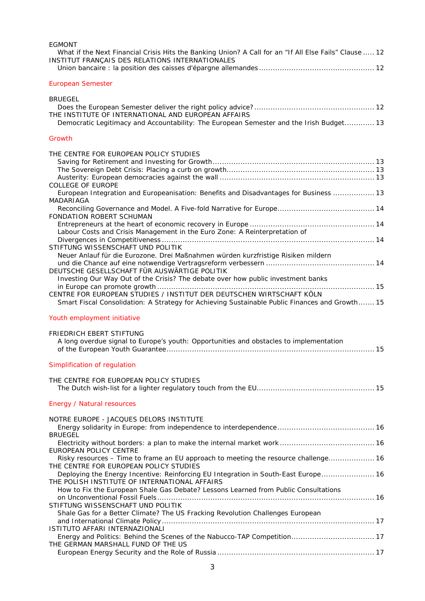| <b>EGMONT</b>                                                                                                                                                          |  |
|------------------------------------------------------------------------------------------------------------------------------------------------------------------------|--|
| What if the Next Financial Crisis Hits the Banking Union? A Call for an "If All Else Fails" Clause  12<br>INSTITUT FRANÇAIS DES RELATIONS INTERNATIONALES              |  |
| <b>European Semester</b>                                                                                                                                               |  |
| <b>BRUEGEL</b>                                                                                                                                                         |  |
|                                                                                                                                                                        |  |
| THE INSTITUTE OF INTERNATIONAL AND EUROPEAN AFFAIRS<br>Democratic Legitimacy and Accountability: The European Semester and the Irish Budget 13                         |  |
| Growth                                                                                                                                                                 |  |
| THE CENTRE FOR EUROPEAN POLICY STUDIES                                                                                                                                 |  |
|                                                                                                                                                                        |  |
|                                                                                                                                                                        |  |
| COLLEGE OF EUROPE                                                                                                                                                      |  |
| European Integration and Europeanisation: Benefits and Disadvantages for Business  13<br>MADARIAGA                                                                     |  |
|                                                                                                                                                                        |  |
| FONDATION ROBERT SCHUMAN                                                                                                                                               |  |
| Labour Costs and Crisis Management in the Euro Zone: A Reinterpretation of                                                                                             |  |
| STIFTUNG WISSENSCHAFT UND POLITIK                                                                                                                                      |  |
| Neuer Anlauf für die Eurozone. Drei Maßnahmen würden kurzfristige Risiken mildern                                                                                      |  |
|                                                                                                                                                                        |  |
| DEUTSCHE GESELLSCHAFT FÜR AUSWÄRTIGE POLITIK                                                                                                                           |  |
| Investing Our Way Out of the Crisis? The debate over how public investment banks                                                                                       |  |
| CENTRE FOR EUROPEAN STUDIES / INSTITUT DER DEUTSCHEN WIRTSCHAFT KÖLN<br>Smart Fiscal Consolidation: A Strategy for Achieving Sustainable Public Finances and Growth 15 |  |
| Youth employment initiative                                                                                                                                            |  |
| FRIEDRICH EBERT STIFTUNG                                                                                                                                               |  |
| A long overdue signal to Europe's youth: Opportunities and obstacles to implementation                                                                                 |  |
|                                                                                                                                                                        |  |
| Simplification of regulation                                                                                                                                           |  |
| THE CENTRE FOR EUROPEAN POLICY STUDIES                                                                                                                                 |  |
|                                                                                                                                                                        |  |
| Energy / Natural resources                                                                                                                                             |  |
| NOTRE EUROPE - JACQUES DELORS INSTITUTE                                                                                                                                |  |
| <b>BRUEGEL</b>                                                                                                                                                         |  |
|                                                                                                                                                                        |  |
| EUROPEAN POLICY CENTRE                                                                                                                                                 |  |
| Risky resources - Time to frame an EU approach to meeting the resource challenge 16<br>THE CENTRE FOR EUROPEAN POLICY STUDIES                                          |  |
| Deploying the Energy Incentive: Reinforcing EU Integration in South-East Europe 16<br>THE POLISH INSTITUTE OF INTERNATIONAL AFFAIRS                                    |  |
| How to Fix the European Shale Gas Debate? Lessons Learned from Public Consultations                                                                                    |  |
|                                                                                                                                                                        |  |
| STIFTUNG WISSENSCHAFT UND POLITIK<br>Shale Gas for a Better Climate? The US Fracking Revolution Challenges European                                                    |  |
|                                                                                                                                                                        |  |
| ISTITUTO AFFARI INTERNAZIONALI                                                                                                                                         |  |
| Energy and Politics: Behind the Scenes of the Nabucco-TAP Competition 17                                                                                               |  |
| THE GERMAN MARSHALL FUND OF THE US                                                                                                                                     |  |
|                                                                                                                                                                        |  |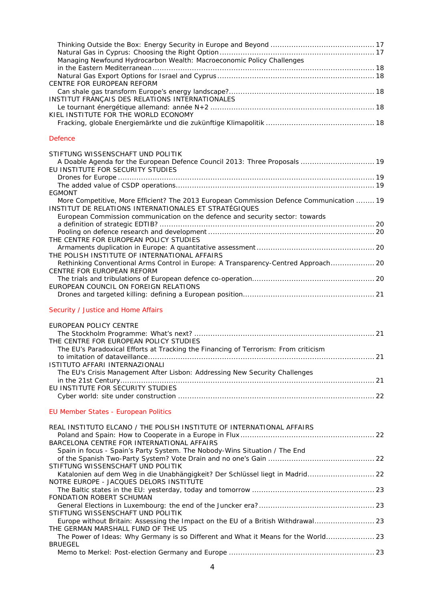| Managing Newfound Hydrocarbon Wealth: Macroeconomic Policy Challenges<br>CENTRE FOR EUROPEAN REFORM<br>INSTITUT FRANÇAIS DES RELATIONS INTERNATIONALES                                                                             |    |
|------------------------------------------------------------------------------------------------------------------------------------------------------------------------------------------------------------------------------------|----|
| KIEL INSTITUTE FOR THE WORLD ECONOMY                                                                                                                                                                                               |    |
| <b>Defence</b>                                                                                                                                                                                                                     |    |
| STIFTUNG WISSENSCHAFT UND POLITIK<br>A Doable Agenda for the European Defence Council 2013: Three Proposals  19<br>EU INSTITUTE FOR SECURITY STUDIES                                                                               |    |
| <b>EGMONT</b>                                                                                                                                                                                                                      |    |
| More Competitive, More Efficient? The 2013 European Commission Defence Communication  19<br>INSTITUT DE RELATIONS INTERNATIONALES ET STRATÉGIQUES<br>European Commission communication on the defence and security sector: towards |    |
|                                                                                                                                                                                                                                    |    |
|                                                                                                                                                                                                                                    |    |
| THE CENTRE FOR EUROPEAN POLICY STUDIES                                                                                                                                                                                             |    |
| THE POLISH INSTITUTE OF INTERNATIONAL AFFAIRS                                                                                                                                                                                      |    |
| Rethinking Conventional Arms Control in Europe: A Transparency-Centred Approach 20<br>CENTRE FOR EUROPEAN REFORM                                                                                                                   |    |
|                                                                                                                                                                                                                                    |    |
| EUROPEAN COUNCIL ON FOREIGN RELATIONS                                                                                                                                                                                              |    |
| Security / Justice and Home Affairs                                                                                                                                                                                                |    |
|                                                                                                                                                                                                                                    |    |
|                                                                                                                                                                                                                                    |    |
| EUROPEAN POLICY CENTRE                                                                                                                                                                                                             |    |
|                                                                                                                                                                                                                                    |    |
| THE CENTRE FOR EUROPEAN POLICY STUDIES<br>The EU's Paradoxical Efforts at Tracking the Financing of Terrorism: From criticism                                                                                                      |    |
| to imitation of dataveillance                                                                                                                                                                                                      | 21 |
| ISTITUTO AFFARI INTERNAZIONALI                                                                                                                                                                                                     |    |
| The EU's Crisis Management After Lisbon: Addressing New Security Challenges                                                                                                                                                        |    |
| EU INSTITUTE FOR SECURITY STUDIES                                                                                                                                                                                                  |    |
|                                                                                                                                                                                                                                    |    |
| <b>EU Member States - European Politics</b>                                                                                                                                                                                        |    |
| REAL INSTITUTO ELCANO / THE POLISH INSTITUTE OF INTERNATIONAL AFFAIRS                                                                                                                                                              |    |
|                                                                                                                                                                                                                                    |    |
| BARCELONA CENTRE FOR INTERNATIONAL AFFAIRS<br>Spain in focus - Spain's Party System. The Nobody-Wins Situation / The End                                                                                                           |    |
|                                                                                                                                                                                                                                    |    |
| STIFTUNG WISSENSCHAFT UND POLITIK                                                                                                                                                                                                  |    |
| Katalonien auf dem Weg in die Unabhängigkeit? Der Schlüssel liegt in Madrid 22<br>NOTRE EUROPE - JACQUES DELORS INSTITUTE                                                                                                          |    |
| FONDATION ROBERT SCHUMAN                                                                                                                                                                                                           |    |
| STIFTUNG WISSENSCHAFT UND POLITIK                                                                                                                                                                                                  |    |
| Europe without Britain: Assessing the Impact on the EU of a British Withdrawal 23<br>THE GERMAN MARSHALL FUND OF THE US                                                                                                            |    |
| The Power of Ideas: Why Germany is so Different and What it Means for the World 23<br><b>BRUEGEL</b>                                                                                                                               |    |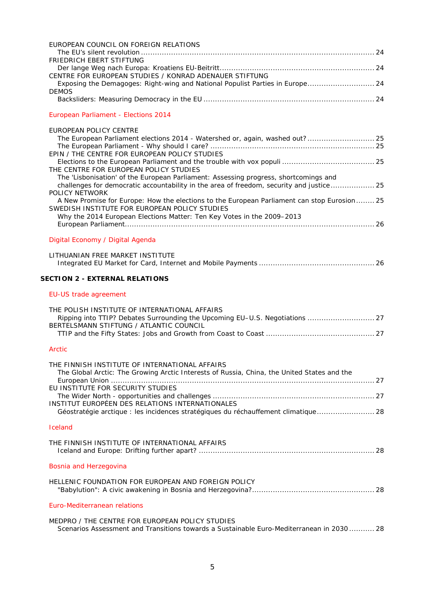| EUROPEAN COUNCIL ON FOREIGN RELATIONS                                                                             |  |
|-------------------------------------------------------------------------------------------------------------------|--|
|                                                                                                                   |  |
| FRIEDRICH EBERT STIFTUNG                                                                                          |  |
| CENTRE FOR EUROPEAN STUDIES / KONRAD ADENAUER STIFTUNG                                                            |  |
| Exposing the Demagoges: Right-wing and National Populist Parties in Europe 24<br><b>DEMOS</b>                     |  |
|                                                                                                                   |  |
| European Parliament - Elections 2014                                                                              |  |
| <b>EUROPEAN POLICY CENTRE</b>                                                                                     |  |
| The European Parliament elections 2014 - Watershed or, again, washed out? 25                                      |  |
| EPIN / THE CENTRE FOR EUROPEAN POLICY STUDIES                                                                     |  |
|                                                                                                                   |  |
| THE CENTRE FOR EUROPEAN POLICY STUDIES                                                                            |  |
| The 'Lisbonisation' of the European Parliament: Assessing progress, shortcomings and                              |  |
| challenges for democratic accountability in the area of freedom, security and justice 25<br><b>POLICY NETWORK</b> |  |
| A New Promise for Europe: How the elections to the European Parliament can stop Eurosion 25                       |  |
| SWEDISH INSTITUTE FOR EUROPEAN POLICY STUDIES                                                                     |  |
| Why the 2014 European Elections Matter: Ten Key Votes in the 2009-2013                                            |  |
|                                                                                                                   |  |
| Digital Economy / Digital Agenda                                                                                  |  |
|                                                                                                                   |  |
| LITHUANIAN FREE MARKET INSTITUTE                                                                                  |  |
| <b>SECTION 2 - EXTERNAL RELATIONS</b>                                                                             |  |
|                                                                                                                   |  |
| EU-US trade agreement                                                                                             |  |
| THE POLISH INSTITUTE OF INTERNATIONAL AFFAIRS                                                                     |  |
| Ripping into TTIP? Debates Surrounding the Upcoming EU-U.S. Negotiations  27                                      |  |
| BERTELSMANN STIFTUNG / ATLANTIC COUNCIL                                                                           |  |
|                                                                                                                   |  |
| <b>Arctic</b>                                                                                                     |  |
| THE FINNISH INSTITUTE OF INTERNATIONAL AFFAIRS                                                                    |  |
| The Global Arctic: The Growing Arctic Interests of Russia, China, the United States and the                       |  |
| EU INSTITUTE FOR SECURITY STUDIES                                                                                 |  |
|                                                                                                                   |  |
| INSTITUT EUROPÉEN DES RELATIONS INTERNATIONALES                                                                   |  |
| Géostratégie arctique : les incidences stratégiques du réchauffement climatique 28                                |  |
| Iceland                                                                                                           |  |
| THE FINNISH INSTITUTE OF INTERNATIONAL AFFAIRS                                                                    |  |
|                                                                                                                   |  |
| Bosnia and Herzegovina                                                                                            |  |
|                                                                                                                   |  |
| HELLENIC FOUNDATION FOR EUROPEAN AND FOREIGN POLICY                                                               |  |
| Euro-Mediterranean relations                                                                                      |  |
| MEDPRO / THE CENTRE FOR EUROPEAN POLICY STUDIES                                                                   |  |
| Scenarios Assessment and Transitions towards a Sustainable Euro-Mediterranean in 2030  28                         |  |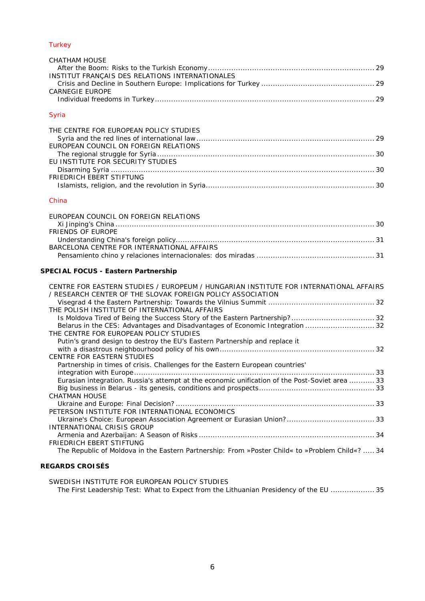# **[Turkey](#page-28-0)**

| CHATHAM HOUSE                                   |  |
|-------------------------------------------------|--|
|                                                 |  |
| INSTITUT FRANÇAIS DES RELATIONS INTERNATIONALES |  |
|                                                 |  |
| CARNEGIE EUROPE                                 |  |
|                                                 |  |

# [Syria](#page-28-7)

| THE CENTRE FOR EUROPEAN POLICY STUDIES |  |
|----------------------------------------|--|
|                                        |  |
| EUROPEAN COUNCIL ON FOREIGN RELATIONS  |  |
|                                        |  |
| FU INSTITUTE FOR SECURITY STUDIES      |  |
|                                        |  |
| FRIEDRICH EBERT STIFTUNG               |  |
|                                        |  |

# [China](#page-29-6)

| FUROPEAN COUNCIL ON FORFIGN RELATIONS      |  |
|--------------------------------------------|--|
|                                            |  |
| <b>FRIENDS OF EUROPE</b>                   |  |
|                                            |  |
| BARCELONA CENTRE FOR INTERNATIONAL AFFAIRS |  |
|                                            |  |

# **SPECIAL FOCUS - [Eastern Partnership](#page-31-0)**

| CENTRE FOR EASTERN STUDIES / EUROPEUM / HUNGARIAN INSTITUTE FOR INTERNATIONAL AFFAIRS<br>/ RESEARCH CENTER OF THE SLOVAK FOREIGN POLICY ASSOCIATION |
|-----------------------------------------------------------------------------------------------------------------------------------------------------|
|                                                                                                                                                     |
|                                                                                                                                                     |
| THE POLISH INSTITUTE OF INTERNATIONAL AFFAIRS                                                                                                       |
|                                                                                                                                                     |
| Belarus in the CES: Advantages and Disadvantages of Economic Integration  32                                                                        |
| THE CENTRE FOR EUROPEAN POLICY STUDIES                                                                                                              |
| Putin's grand design to destroy the EU's Eastern Partnership and replace it                                                                         |
|                                                                                                                                                     |
| CENTRE FOR EASTERN STUDIES                                                                                                                          |
| Partnership in times of crisis. Challenges for the Eastern European countries'                                                                      |
|                                                                                                                                                     |
| Eurasian integration. Russia's attempt at the economic unification of the Post-Soviet area  33                                                      |
|                                                                                                                                                     |
| <b>CHATMAN HOUSE</b>                                                                                                                                |
|                                                                                                                                                     |
| PETERSON INSTITUTE FOR INTERNATIONAL ECONOMICS                                                                                                      |
|                                                                                                                                                     |
| INTERNATIONAL CRISIS GROUP                                                                                                                          |
|                                                                                                                                                     |
| <b>FRIEDRICH EBERT STIFTUNG</b>                                                                                                                     |
| The Republic of Moldova in the Eastern Partnership: From »Poster Child« to »Problem Child«?  34                                                     |
|                                                                                                                                                     |
|                                                                                                                                                     |

# **[REGARDS CROISÉS](#page-34-0)**

| SWEDISH INSTITUTE FOR EUROPEAN POLICY STUDIES                                          |  |
|----------------------------------------------------------------------------------------|--|
| The First Leadership Test: What to Expect from the Lithuanian Presidency of the EU  35 |  |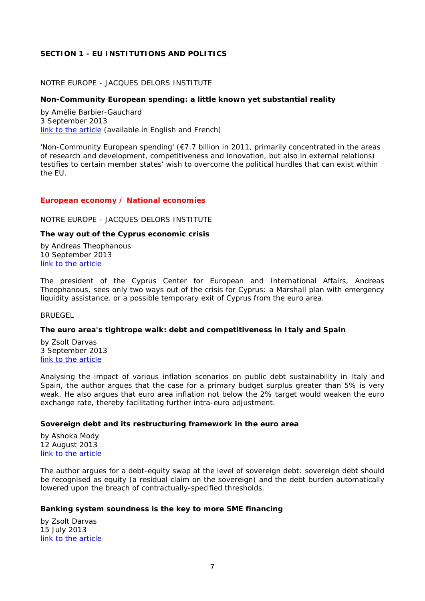# <span id="page-6-0"></span>**SECTION 1 - EU INSTITUTIONS AND POLITICS**

# <span id="page-6-1"></span>NOTRE EUROPE - JACQUES DELORS INSTITUTE

# <span id="page-6-2"></span>**Non-Community European spending: a little known yet substantial reality**

by Amélie Barbier-Gauchard 3 September 2013 [link to the article](http://www.notre-europe.eu/media/noncommunityeuropeanspending-barbier-gauchard-ne-jdi-aug13.pdf) (available in English and French)

'Non-Community European spending' (€7.7 billion in 2011, primarily concentrated in the areas of research and development, competitiveness and innovation, but also in external relations) testifies to certain member states' wish to overcome the political hurdles that can exist within the EU.

#### <span id="page-6-3"></span>*European economy / National economies*

<span id="page-6-4"></span>NOTRE EUROPE - JACQUES DELORS INSTITUTE

#### <span id="page-6-5"></span>**The way out of the Cyprus economic crisis**

by Andreas Theophanous 10 September 2013 [link to the article](http://www.notre-europe.eu/media/thewayoutofthecypruscrisistheophanous-ne-jdisept2013.pdf)

The president of the Cyprus Center for European and International Affairs, Andreas Theophanous, sees only two ways out of the crisis for Cyprus: a Marshall plan with emergency liquidity assistance, or a possible temporary exit of Cyprus from the euro area.

<span id="page-6-6"></span>**BRUEGEL** 

#### <span id="page-6-7"></span>**The euro area's tightrope walk: debt and competitiveness in Italy and Spain**

by Zsolt Darvas 3 September 2013 [link to the article](http://www.bruegel.org/publications/publication-detail/publication/790-the-euro-areas-tightrope-walk-debt-and-competitiveness-in-italy-and-spain/)

Analysing the impact of various inflation scenarios on public debt sustainability in Italy and Spain, the author argues that the case for a primary budget surplus greater than 5% is very weak. He also argues that euro area inflation not below the 2% target would weaken the euro exchange rate, thereby facilitating further intra-euro adjustment.

#### <span id="page-6-8"></span>**Sovereign debt and its restructuring framework in the euro area**

by Ashoka Mody 12 August 2013 [link to the article](http://www.bruegel.org/publications/publication-detail/publication/788-sovereign-debt-and-its-restructuring-framework-in-the-euro-area/)

The author argues for a debt-equity swap at the level of sovereign debt: sovereign debt should be recognised as equity (a residual claim on the sovereign) and the debt burden automatically lowered upon the breach of contractually-specified thresholds.

# <span id="page-6-9"></span>**Banking system soundness is the key to more SME financing**

by Zsolt Darvas 15 July 2013 [link to the article](http://www.bruegel.org/publications/publication-detail/publication/785-banking-system-soundness-is-the-key-to-more-sme-financing/)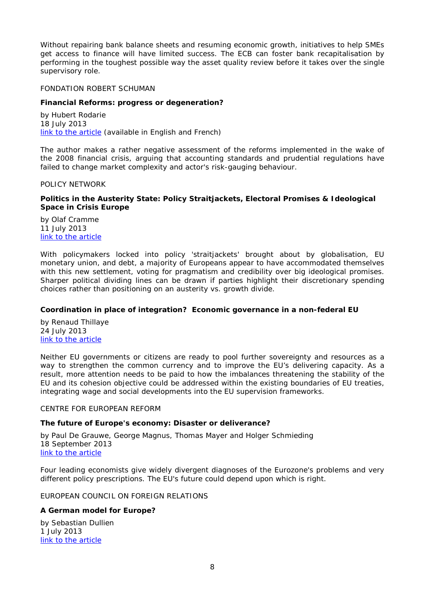Without repairing bank balance sheets and resuming economic growth, initiatives to help SMEs get access to finance will have limited success. The ECB can foster bank recapitalisation by performing in the toughest possible way the asset quality review before it takes over the single supervisory role.

<span id="page-7-0"></span>FONDATION ROBERT SCHUMAN

# <span id="page-7-1"></span>**Financial Reforms: progress or degeneration?**

by Hubert Rodarie 18 July 2013 [link to the article](http://www.robert-schuman.eu/en/doc/questions-d-europe/qe-286-en.pdf) (available in English and French)

The author makes a rather negative assessment of the reforms implemented in the wake of the 2008 financial crisis, arguing that accounting standards and prudential regulations have failed to change market complexity and actor's risk-gauging behaviour.

<span id="page-7-2"></span>POLICY NETWORK

# <span id="page-7-3"></span>**Politics in the Austerity State: Policy Straitjackets, Electoral Promises & Ideological Space in Crisis Europe**

by Olaf Cramme 11 July 2013 [link to the article](http://www.policy-network.net/publications_detail.aspx?ID=4438)

With policymakers locked into policy 'straitjackets' brought about by globalisation, EU monetary union, and debt, a majority of Europeans appear to have accommodated themselves with this new settlement, voting for pragmatism and credibility over big ideological promises. Sharper political dividing lines can be drawn if parties highlight their discretionary spending choices rather than positioning on an austerity vs. growth divide.

# <span id="page-7-4"></span>**Coordination in place of integration? Economic governance in a non-federal EU**

by Renaud Thillaye 24 July 2013 [link to the article](http://www.policy-network.net/publications_detail.aspx?ID=4442)

Neither EU governments or citizens are ready to pool further sovereignty and resources as a way to strengthen the common currency and to improve the EU's delivering capacity. As a result, more attention needs to be paid to how the imbalances threatening the stability of the EU and its cohesion objective could be addressed within the existing boundaries of EU treaties, integrating wage and social developments into the EU supervision frameworks.

<span id="page-7-5"></span>CENTRE FOR EUROPEAN REFORM

# <span id="page-7-6"></span>**The future of Europe's economy: Disaster or deliverance?**

by Paul De Grauwe, George Magnus, Thomas Mayer and Holger Schmieding 18 September 2013 [link to the article](http://www.cer.org.uk/sites/default/files/publications/attachments/pdf/2013/rp_102-7811.pdf)

Four leading economists give widely divergent diagnoses of the Eurozone's problems and very different policy prescriptions. The EU's future could depend upon which is right.

# <span id="page-7-7"></span>EUROPEAN COUNCIL ON FOREIGN RELATIONS

# <span id="page-7-8"></span>**A German model for Europe?**

by Sebastian Dullien 1 July 2013 [link to the article](http://ecfr.eu/page/-/ECFR83_GERMANY_BRIEF_AW.pdf)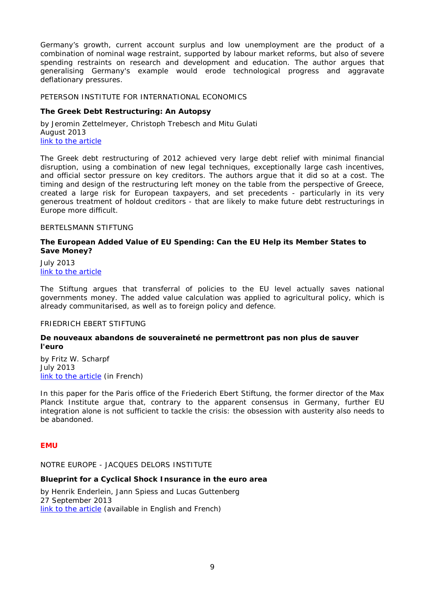Germany's growth, current account surplus and low unemployment are the product of a combination of nominal wage restraint, supported by labour market reforms, but also of severe spending restraints on research and development and education. The author argues that generalising Germany's example would erode technological progress and aggravate deflationary pressures.

#### <span id="page-8-0"></span>PETERSON INSTITUTE FOR INTERNATIONAL ECONOMICS

# <span id="page-8-1"></span>**The Greek Debt Restructuring: An Autopsy**

by Jeromin Zettelmeyer, Christoph Trebesch and Mitu Gulati August 2013 [link to the article](http://www.iie.com/publications/wp/wp13-8.pdf)

The Greek debt restructuring of 2012 achieved very large debt relief with minimal financial disruption, using a combination of new legal techniques, exceptionally large cash incentives, and official sector pressure on key creditors. The authors argue that it did so at a cost. The timing and design of the restructuring left money on the table from the perspective of Greece, created a large risk for European taxpayers, and set precedents - particularly in its very generous treatment of holdout creditors - that are likely to make future debt restructurings in Europe more difficult.

#### <span id="page-8-2"></span>BERTELSMANN STIFTUNG

#### <span id="page-8-3"></span>**The European Added Value of EU Spending: Can the EU Help its Member States to Save Money?**

July 2013 [link to the article](http://www.bertelsmann-stiftung.de/cps/rde/xbcr/SID-D2B6D576-38A5E19B/bst_engl/xcms_bst_dms_38323_38324_2.pdf)

The *Stiftung* argues that transferral of policies to the EU level actually saves national governments money. The added value calculation was applied to agricultural policy, which is already communitarised, as well as to foreign policy and defence.

#### <span id="page-8-4"></span>FRIEDRICH EBERT STIFTUNG

#### <span id="page-8-5"></span>**De nouveaux abandons de souveraineté ne permettront pas non plus de sauver l'euro**

by Fritz W. Scharpf July 2013 [link to the article](http://library.fes.de/pdf-files/bueros/paris/10152.pdf%20) (in French)

In this paper for the Paris office of the *Friederich Ebert Stiftung*, the former director of the Max Planck Institute argue that, contrary to the apparent consensus in Germany, further EU integration alone is not sufficient to tackle the crisis: the obsession with austerity also needs to be abandoned.

# <span id="page-8-6"></span>*EMU*

<span id="page-8-7"></span>NOTRE EUROPE - JACQUES DELORS INSTITUTE

#### <span id="page-8-8"></span>**Blueprint for a Cyclical Shock Insurance in the euro area**

by Henrik Enderlein, Jann Spiess and Lucas Guttenberg 27 September 2013 [link to the article](http://www.notre-europe.eu/media/blueprintforacyclicalshockinsurancene-jdisept2013.pdf) (available in English and French)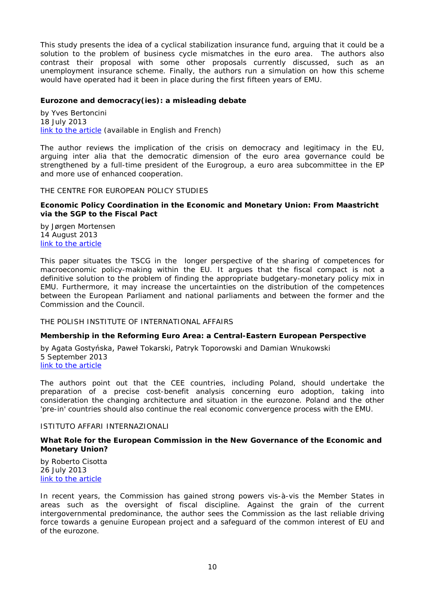This study presents the idea of a cyclical stabilization insurance fund, arguing that it could be a solution to the problem of business cycle mismatches in the euro area. The authors also contrast their proposal with some other proposals currently discussed, such as an unemployment insurance scheme. Finally, the authors run a simulation on how this scheme would have operated had it been in place during the first fifteen years of EMU.

# <span id="page-9-0"></span>**Eurozone and democracy(ies): a misleading debate**

by Yves Bertoncini 18 July 2013 [link to the article](http://www.notre-europe.eu/media/eurozone-and-democracy-ies-bertoncini-ne-jdi-july13.pdf) (available in English and French)

The author reviews the implication of the crisis on democracy and legitimacy in the EU, arguing *inter alia* that the democratic dimension of the euro area governance could be strengthened by a full-time president of the Eurogroup, a euro area subcommittee in the EP and more use of enhanced cooperation.

<span id="page-9-1"></span>THE CENTRE FOR EUROPEAN POLICY STUDIES

#### <span id="page-9-2"></span>**Economic Policy Coordination in the Economic and Monetary Union: From Maastricht via the SGP to the Fiscal Pact**

by Jørgen Mortensen 14 August 2013 [link to the article](http://www.ceps.be/book/economic-policy-coordination-economic-and-monetary-union-maastricht-sgp-fiscal-pact)

This paper situates the TSCG in the longer perspective of the sharing of competences for macroeconomic policy-making within the EU. It argues that the fiscal compact is not a definitive solution to the problem of finding the appropriate budgetary-monetary policy mix in EMU. Furthermore, it may increase the uncertainties on the distribution of the competences between the European Parliament and national parliaments and between the former and the Commission and the Council.

# <span id="page-9-3"></span>THE POLISH INSTITUTE OF INTERNATIONAL AFFAIRS

# <span id="page-9-4"></span>**Membership in the Reforming Euro Area: a Central-Eastern European Perspective**

by Agata Gostyńska, Paweł Tokarski, Patryk Toporowski and Damian Wnukowski 5 September 2013 [link to the article](http://www.pism.pl/files/?id_plik=14564)

The authors point out that the CEE countries, including Poland, should undertake the preparation of a precise cost-benefit analysis concerning euro adoption, taking into consideration the changing architecture and situation in the eurozone. Poland and the other 'pre-in' countries should also continue the real economic convergence process with the EMU.

#### <span id="page-9-5"></span>ISTITUTO AFFARI INTERNAZIONALI

#### <span id="page-9-6"></span>**What Role for the European Commission in the New Governance of the Economic and Monetary Union?**

by Roberto Cisotta 26 July 2013 [link to the article](http://www.iai.it/pdf/DocIAI/iaiwp1324.pdf)

In recent years, the Commission has gained strong powers vis-à-vis the Member States in areas such as the oversight of fiscal discipline. Against the grain of the current intergovernmental predominance, the author sees the Commission as the last reliable driving force towards a genuine European project and a safeguard of the common interest of EU and of the eurozone.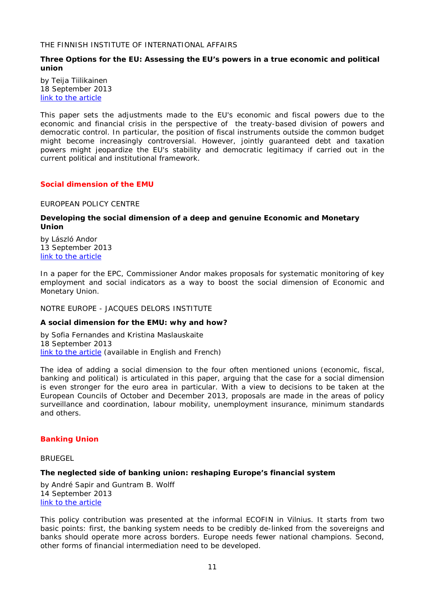#### <span id="page-10-0"></span>THE FINNISH INSTITUTE OF INTERNATIONAL AFFAIRS

# <span id="page-10-1"></span>**Three Options for the EU: Assessing the EU's powers in a true economic and political union**

by Teija Tiilikainen 18 September 2013 [link to the article](http://www.fiia.fi/en/publication/356/three_options_for_the_eu/)

This paper sets the adjustments made to the EU's economic and fiscal powers due to the economic and financial crisis in the perspective of the treaty-based division of powers and democratic control. In particular, the position of fiscal instruments outside the common budget might become increasingly controversial. However, jointly guaranteed debt and taxation powers might jeopardize the EU's stability and democratic legitimacy if carried out in the current political and institutional framework.

#### <span id="page-10-2"></span>*Social dimension of the EMU*

<span id="page-10-3"></span>EUROPEAN POLICY CENTRE

# <span id="page-10-4"></span>**Developing the social dimension of a deep and genuine Economic and Monetary Union**

by László Andor 13 September 2013 [link to the article](http://www.epc.eu/documents/uploads/pub_3707_developing_the_social_dimension.pdf)

In a paper for the EPC, Commissioner Andor makes proposals for systematic monitoring of key employment and social indicators as a way to boost the social dimension of Economic and Monetary Union.

<span id="page-10-5"></span>NOTRE EUROPE - JACQUES DELORS INSTITUTE

# <span id="page-10-6"></span>**A social dimension for the EMU: why and how?**

by Sofia Fernandes and Kristina Maslauskaite 18 September 2013 [link to the article](http://www.notre-europe.eu/media/socialdimensionsforeumfernandesmaslauskaitene-jdisept2013.pdf%20) (available in English and French)

The idea of adding a social dimension to the four often mentioned unions (economic, fiscal, banking and political) is articulated in this paper, arguing that the case for a social dimension is even stronger for the euro area in particular. With a view to decisions to be taken at the European Councils of October and December 2013, proposals are made in the areas of policy surveillance and coordination, labour mobility, unemployment insurance, minimum standards and others.

# <span id="page-10-7"></span>*Banking Union*

<span id="page-10-8"></span>**BRUEGEL** 

# <span id="page-10-9"></span>**The neglected side of banking union: reshaping Europe's financial system**

by André Sapir and Guntram B. Wolff 14 September 2013 [link to the article](http://www.bruegel.org/publications/publication-detail/publication/792-the-neglected-side-of-banking-union-reshaping-europes-financial-system/)

This policy contribution was presented at the informal ECOFIN in Vilnius. It starts from two basic points: first, the banking system needs to be credibly de-linked from the sovereigns and banks should operate more across borders. Europe needs fewer national champions. Second, other forms of financial intermediation need to be developed.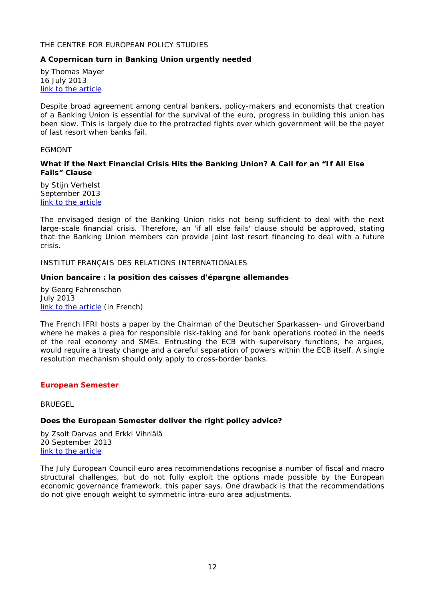## <span id="page-11-0"></span>THE CENTRE FOR EUROPEAN POLICY STUDIES

# <span id="page-11-1"></span>**A Copernican turn in Banking Union urgently needed**

by Thomas Mayer 16 July 2013 [link to the article](http://www.ceps.be/book/copernican-turn-banking-union-urgently-needed)

Despite broad agreement among central bankers, policy-makers and economists that creation of a Banking Union is essential for the survival of the euro, progress in building this union has been slow. This is largely due to the protracted fights over which government will be the payer of last resort when banks fail.

#### <span id="page-11-2"></span>EGMONT

#### <span id="page-11-3"></span>**What if the Next Financial Crisis Hits the Banking Union? A Call for an "If All Else Fails" Clause**

by Stijn Verhelst September 2013 [link to the article](http://www.egmontinstitute.be/papers/13/eur/EPB16.pdf)

The envisaged design of the Banking Union risks not being sufficient to deal with the next large-scale financial crisis. Therefore, an 'if all else fails' clause should be approved, stating that the Banking Union members can provide joint last resort financing to deal with a future crisis.

#### <span id="page-11-4"></span>INSTITUT FRANÇAIS DES RELATIONS INTERNATIONALES

# <span id="page-11-5"></span>**Union bancaire : la position des caisses d'épargne allemandes**

by Georg Fahrenschon July 2013 [link to the article](http://www.ifri.org/index.php?page=detail-contribution&id=7749&id_provenance=97) (in French)

The French IFRI hosts a paper by the Chairman of the *Deutscher Sparkassen- und Giroverband* where he makes a plea for responsible risk-taking and for bank operations rooted in the needs of the real economy and SMEs. Entrusting the ECB with supervisory functions, he argues, would require a treaty change and a careful separation of powers within the ECB itself. A single resolution mechanism should only apply to cross-border banks.

# <span id="page-11-6"></span>*European Semester*

<span id="page-11-7"></span>**BRUEGEL** 

# <span id="page-11-8"></span>**Does the European Semester deliver the right policy advice?**

by Zsolt Darvas and Erkki Vihriälä 20 September 2013 [link to the article](http://www.bruegel.org/publications/publication-detail/publication/793-does-the-european-semester-deliver-the-right-policy-advice/)

The July European Council euro area recommendations recognise a number of fiscal and macro structural challenges, but do not fully exploit the options made possible by the European economic governance framework, this paper says. One drawback is that the recommendations do not give enough weight to symmetric intra-euro area adjustments.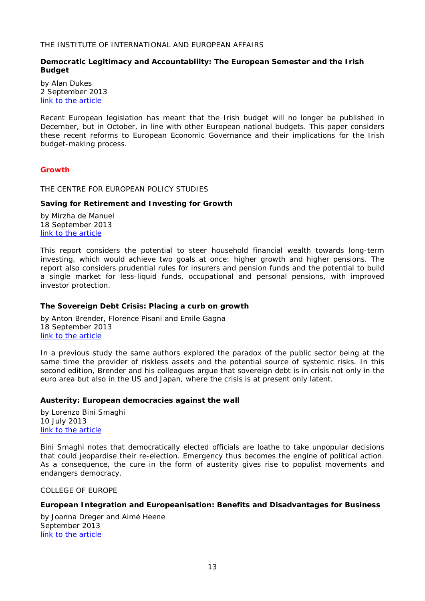# <span id="page-12-0"></span>THE INSTITUTE OF INTERNATIONAL AND EUROPEAN AFFAIRS

# <span id="page-12-1"></span>**Democratic Legitimacy and Accountability: The European Semester and the Irish Budget**

by Alan Dukes 2 September 2013 [link to the article](http://www.iiea.com/ftp/Publications/Democratic_Legitimacy_and_Accountability_Economic%20Governance%20Paper%205_iiea-2013.pdf)

Recent European legislation has meant that the Irish budget will no longer be published in December, but in October, in line with other European national budgets. This paper considers these recent reforms to European Economic Governance and their implications for the Irish budget-making process.

#### <span id="page-12-2"></span>*Growth*

<span id="page-12-3"></span>THE CENTRE FOR EUROPEAN POLICY STUDIES

#### <span id="page-12-4"></span>**Saving for Retirement and Investing for Growth**

by Mirzha de Manuel 18 September 2013 [link to the article](http://www.ceps.be/book/SFR)

This report considers the potential to steer household financial wealth towards long-term investing, which would achieve two goals at once: higher growth and higher pensions. The report also considers prudential rules for insurers and pension funds and the potential to build a single market for less-liquid funds, occupational and personal pensions, with improved investor protection.

# <span id="page-12-5"></span>**The Sovereign Debt Crisis: Placing a curb on growth**

by Anton Brender, Florence Pisani and Emile Gagna 18 September 2013 [link to the article](http://www.ceps.be/book/sovereign-debt-crisis-placing-curb-growth-updated-edition)

In a previous study the same authors explored the paradox of the public sector being at the same time the provider of riskless assets and the potential source of systemic risks. In this second edition, Brender and his colleagues argue that sovereign debt is in crisis not only in the euro area but also in the US and Japan, where the crisis is at present only latent.

# <span id="page-12-6"></span>**Austerity: European democracies against the wall**

by Lorenzo Bini Smaghi 10 July 2013 [link to the article](http://www.ceps.be/book/austerity-european-democracies-against-wall)

Bini Smaghi notes that democratically elected officials are loathe to take unpopular decisions that could jeopardise their re-election. Emergency thus becomes the engine of political action. As a consequence, the cure in the form of austerity gives rise to populist movements and endangers democracy.

<span id="page-12-7"></span>COLLEGE OF EUROPE

#### <span id="page-12-8"></span>**European Integration and Europeanisation: Benefits and Disadvantages for Business**

by Joanna Dreger and Aimé Heene September 2013 [link to the article](https://www.coleurope.eu/system/files_force/research-paper/beep29_0.pdf)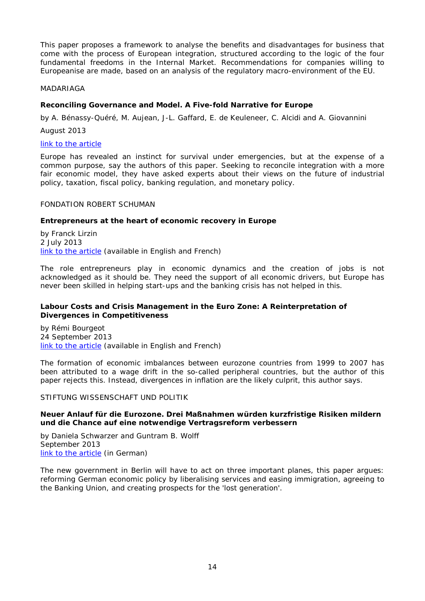This paper proposes a framework to analyse the benefits and disadvantages for business that come with the process of European integration, structured according to the logic of the four fundamental freedoms in the Internal Market. Recommendations for companies willing to Europeanise are made, based on an analysis of the regulatory macro-environment of the EU.

#### <span id="page-13-0"></span>MADARIAGA

# <span id="page-13-1"></span>**Reconciling Governance and Model. A Five-fold Narrative for Europe**

by A. Bénassy-Quéré, M. Aujean, J-L. Gaffard, E. de Keuleneer, C. Alcidi and A. Giovannini

August 2013

#### [link to the article](http://www.madariaga.org/images/madariagabooks/8-aug-2013%20-%20reconciling%20governance%20and%20model.pdf)

Europe has revealed an instinct for survival under emergencies, but at the expense of a common purpose, say the authors of this paper. Seeking to reconcile integration with a more fair economic model, they have asked experts about their views on the future of industrial policy, taxation, fiscal policy, banking regulation, and monetary policy.

#### <span id="page-13-2"></span>FONDATION ROBERT SCHUMAN

#### <span id="page-13-3"></span>**Entrepreneurs at the heart of economic recovery in Europe**

by Franck Lirzin 2 July 2013 [link to the article](http://www.robert-schuman.eu/en/doc/questions-d-europe/qe-284-en.pdf) (available in English and French)

The role entrepreneurs play in economic dynamics and the creation of jobs is not acknowledged as it should be. They need the support of all economic drivers, but Europe has never been skilled in helping start-ups and the banking crisis has not helped in this.

# <span id="page-13-4"></span>**Labour Costs and Crisis Management in the Euro Zone: A Reinterpretation of Divergences in Competitiveness**

by Rémi Bourgeot 24 September 2013 [link to the article](http://www.robert-schuman.eu/en/doc/questions-d-europe/qe-289-en.pdf) (available in English and French)

The formation of economic imbalances between eurozone countries from 1999 to 2007 has been attributed to a wage drift in the so-called peripheral countries, but the author of this paper rejects this. Instead, divergences in inflation are the likely culprit, this author says.

<span id="page-13-5"></span>STIFTUNG WISSENSCHAFT UND POLITIK

#### <span id="page-13-6"></span>**Neuer Anlauf für die Eurozone. Drei Maßnahmen würden kurzfristige Risiken mildern und die Chance auf eine notwendige Vertragsreform verbessern**

by Daniela Schwarzer and Guntram B. Wolff September 2013 [link to the article](http://www.swp-berlin.org/fileadmin/contents/products/aktuell/2013A55_swd_wolff.pdf) (in German)

The new government in Berlin will have to act on three important planes, this paper argues: reforming German economic policy by liberalising services and easing immigration, agreeing to the Banking Union, and creating prospects for the 'lost generation'.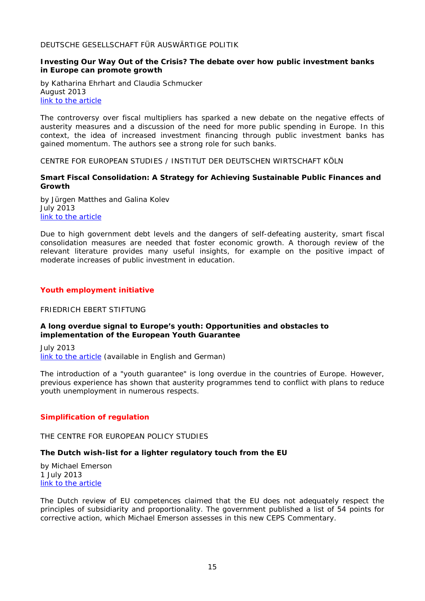# <span id="page-14-0"></span>DEUTSCHE GESELLSCHAFT FÜR AUSWÄRTIGE POLITIK

#### <span id="page-14-1"></span>**Investing Our Way Out of the Crisis? The debate over how public investment banks in Europe can promote growth**

by Katharina Ehrhart and Claudia Schmucker August 2013 [link to the article](https://dgap.org/en/think-tank/publications/dgapanalyse-compact/investing-our-way-out-crisis)

The controversy over fiscal multipliers has sparked a new debate on the negative effects of austerity measures and a discussion of the need for more public spending in Europe. In this context, the idea of increased investment financing through public investment banks has gained momentum. The authors see a strong role for such banks.

<span id="page-14-2"></span>CENTRE FOR EUROPEAN STUDIES / INSTITUT DER DEUTSCHEN WIRTSCHAFT KÖLN

# <span id="page-14-3"></span>**Smart Fiscal Consolidation: A Strategy for Achieving Sustainable Public Finances and Growth**

by Jürgen Matthes and Galina Kolev July 2013 [link to the article](http://thinkingeurope.eu/sites/default/files/publication-files/smart_fiscal_consolidation_-_a_strategy_for_achieving_sustainable_public_finances_and_growth.pdf)

Due to high government debt levels and the dangers of self-defeating austerity, smart fiscal consolidation measures are needed that foster economic growth. A thorough review of the relevant literature provides many useful insights, for example on the positive impact of moderate increases of public investment in education.

# <span id="page-14-4"></span>*Youth employment initiative*

# <span id="page-14-5"></span>FRIEDRICH EBERT STIFTUNG

# <span id="page-14-6"></span>**A long overdue signal to Europe's youth: Opportunities and obstacles to implementation of the European Youth Guarantee**

July 2013 [link to the article](http://library.fes.de/pdf-files/id-moe/10157.pdf) (available in English and German)

The introduction of a "youth guarantee" is long overdue in the countries of Europe. However, previous experience has shown that austerity programmes tend to conflict with plans to reduce youth unemployment in numerous respects.

# <span id="page-14-7"></span>*Simplification of regulation*

<span id="page-14-8"></span>THE CENTRE FOR EUROPEAN POLICY STUDIES

# <span id="page-14-9"></span>**The Dutch wish-list for a lighter regulatory touch from the EU**

by Michael Emerson 1 July 2013 [link to the article](http://www.ceps.be/book/dutch-wish-list-lighter-regulatory-touch-eu)

The Dutch review of EU competences claimed that the EU does not adequately respect the principles of subsidiarity and proportionality. The government published a list of 54 points for corrective action, which Michael Emerson assesses in this new CEPS Commentary.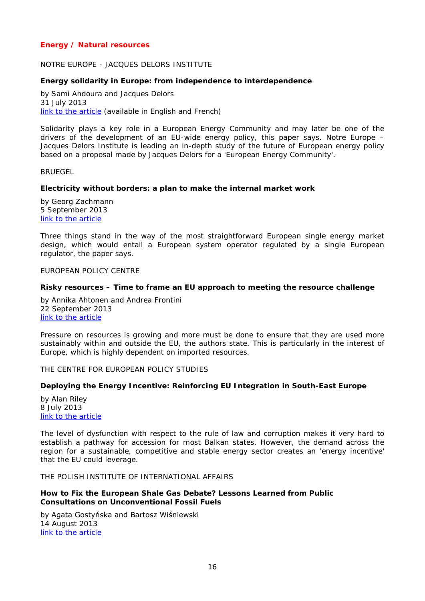# <span id="page-15-0"></span>*Energy / Natural resources*

## <span id="page-15-1"></span>NOTRE EUROPE - JACQUES DELORS INSTITUTE

#### <span id="page-15-2"></span>**Energy solidarity in Europe: from independence to interdependence**

by Sami Andoura and Jacques Delors 31 July 2013 [link to the article](http://www.notre-europe.eu/media/energysolidarity-andoura-ne-ijd-july13.pdf) (available in English and French)

Solidarity plays a key role in a European Energy Community and may later be one of the drivers of the development of an EU-wide energy policy, this paper says. Notre Europe – Jacques Delors Institute is leading an in-depth study of the future of European energy policy based on a proposal made by Jacques Delors for a 'European Energy Community'.

<span id="page-15-3"></span>BRUEGEL

#### <span id="page-15-4"></span>**Electricity without borders: a plan to make the internal market work**

by Georg Zachmann 5 September 2013 [link to the article](http://www.bruegel.org/publications/publication-detail/publication/791-electricity-without-borders-a-plan-to-make-the-internal-market-work/)

Three things stand in the way of the most straightforward European single energy market design, which would entail a European system operator regulated by a single European regulator, the paper says.

<span id="page-15-5"></span>EUROPEAN POLICY CENTRE

#### <span id="page-15-6"></span>**Risky resources – Time to frame an EU approach to meeting the resource challenge**

by Annika Ahtonen and Andrea Frontini 22 September 2013 [link to the article](http://www.epc.eu/documents/uploads/pub_3740_risky_resources.pdf)

Pressure on resources is growing and more must be done to ensure that they are used more sustainably within and outside the EU, the authors state. This is particularly in the interest of Europe, which is highly dependent on imported resources.

<span id="page-15-7"></span>THE CENTRE FOR EUROPEAN POLICY STUDIES

#### <span id="page-15-8"></span>**Deploying the Energy Incentive: Reinforcing EU Integration in South-East Europe**

by Alan Riley 8 July 2013 [link to the article](http://www.ceps.be/book/deploying-energy-incentive-reinforcing-eu-integration-south-east-europe)

The level of dysfunction with respect to the rule of law and corruption makes it very hard to establish a pathway for accession for most Balkan states. However, the demand across the region for a sustainable, competitive and stable energy sector creates an 'energy incentive' that the EU could leverage.

<span id="page-15-9"></span>THE POLISH INSTITUTE OF INTERNATIONAL AFFAIRS

#### <span id="page-15-10"></span>**How to Fix the European Shale Gas Debate? Lessons Learned from Public Consultations on Unconventional Fossil Fuels**

by Agata Gostyńska and Bartosz Wiśniewski 14 August 2013 [link to the article](http://www.pism.pl/files/?id_plik=14483)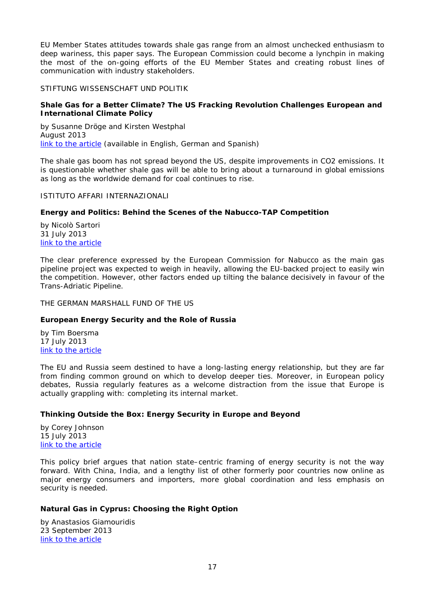EU Member States attitudes towards shale gas range from an almost unchecked enthusiasm to deep wariness, this paper says. The European Commission could become a lynchpin in making the most of the on-going efforts of the EU Member States and creating robust lines of communication with industry stakeholders.

# <span id="page-16-0"></span>STIFTUNG WISSENSCHAFT UND POLITIK

# <span id="page-16-1"></span>**Shale Gas for a Better Climate? The US Fracking Revolution Challenges European and International Climate Policy**

by Susanne Dröge and Kirsten Westphal August 2013 [link to the article](http://www.swp-berlin.org/fileadmin/contents/products/comments/2013C25_dge_wep.pdf) (available in English, German and Spanish)

The shale gas boom has not spread beyond the US, despite improvements in CO2 emissions. It is questionable whether shale gas will be able to bring about a turnaround in global emissions as long as the worldwide demand for coal continues to rise.

# <span id="page-16-2"></span>ISTITUTO AFFARI INTERNAZIONALI

# <span id="page-16-3"></span>**Energy and Politics: Behind the Scenes of the Nabucco-TAP Competition**

by Nicolò Sartori 31 July 2013 [link to the article](http://www.iai.it/pdf/DocIAI/iaiwp1327.pdf)

The clear preference expressed by the European Commission for Nabucco as the main gas pipeline project was expected to weigh in heavily, allowing the EU-backed project to easily win the competition. However, other factors ended up tilting the balance decisively in favour of the Trans-Adriatic Pipeline.

<span id="page-16-4"></span>THE GERMAN MARSHALL FUND OF THE US

# <span id="page-16-5"></span>**European Energy Security and the Role of Russia**

by Tim Boersma 17 July 2013 [link to the article](http://www.gmfus.org/wp-content/blogs.dir/1/files_mf/1374089112Boersma_RoleofRussia_Jul13.pdf)

The EU and Russia seem destined to have a long-lasting energy relationship, but they are far from finding common ground on which to develop deeper ties. Moreover, in European policy debates, Russia regularly features as a welcome distraction from the issue that Europe is actually grappling with: completing its internal market.

# <span id="page-16-6"></span>**Thinking Outside the Box: Energy Security in Europe and Beyond**

by Corey Johnson 15 July 2013 [link to the article](http://www.gmfus.org/wp-content/blogs.dir/1/files_mf/1373982054Johnson_EnergySecurityEurope_Jul13.pdf)

This policy brief argues that nation state–centric framing of energy security is not the way forward. With China, India, and a lengthy list of other formerly poor countries now online as major energy consumers and importers, more global coordination and less emphasis on security is needed.

# <span id="page-16-7"></span>**Natural Gas in Cyprus: Choosing the Right Option**

by Anastasios Giamouridis 23 September 2013 [link to the article](http://www.gmfus.org/wp-content/blogs.dir/1/files_mf/1379968428Giamouridis_CyprusGas_Sep13_web.pdf)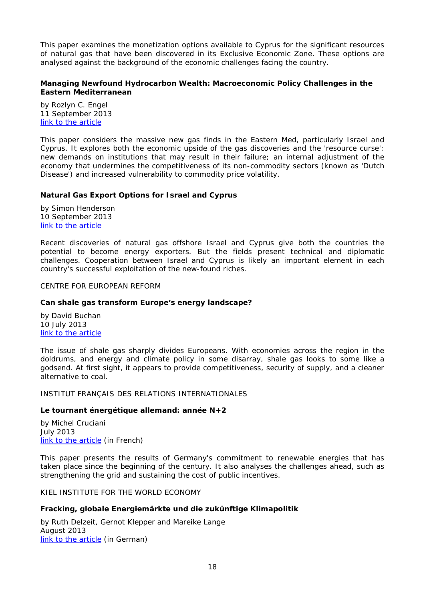This paper examines the monetization options available to Cyprus for the significant resources of natural gas that have been discovered in its Exclusive Economic Zone. These options are analysed against the background of the economic challenges facing the country.

# <span id="page-17-0"></span>**Managing Newfound Hydrocarbon Wealth: Macroeconomic Policy Challenges in the Eastern Mediterranean**

by Rozlyn C. Engel 11 September 2013 [link to the article](http://www.gmfus.org/wp-content/blogs.dir/1/files_mf/1378230392Engel_NewHydrocarbonWealth_Aug13_web.pdf)

This paper considers the massive new gas finds in the Eastern Med, particularly Israel and Cyprus. It explores both the economic upside of the gas discoveries and the 'resource curse': new demands on institutions that may result in their failure; an internal adjustment of the economy that undermines the competitiveness of its non-commodity sectors (known as 'Dutch Disease') and increased vulnerability to commodity price volatility.

# <span id="page-17-1"></span>**Natural Gas Export Options for Israel and Cyprus**

by Simon Henderson 10 September 2013 [link to the article](http://www.gmfus.org/wp-content/blogs.dir/1/files_mf/1378838051Henderson_NatGasExportOptions_Sep13_web.pdf)

Recent discoveries of natural gas offshore Israel and Cyprus give both the countries the potential to become energy exporters. But the fields present technical and diplomatic challenges. Cooperation between Israel and Cyprus is likely an important element in each country's successful exploitation of the new-found riches.

<span id="page-17-2"></span>CENTRE FOR EUROPEAN REFORM

# <span id="page-17-3"></span>**Can shale gas transform Europe's energy landscape?**

by David Buchan 10 July 2013 [link to the article](http://www.cer.org.uk/sites/default/files/publications/attachments/pdf/2013/pbrief_buchan_shale_10july13-7645.pdf)

The issue of shale gas sharply divides Europeans. With economies across the region in the doldrums, and energy and climate policy in some disarray, shale gas looks to some like a godsend. At first sight, it appears to provide competitiveness, security of supply, and a cleaner alternative to coal.

# <span id="page-17-4"></span>INSTITUT FRANÇAIS DES RELATIONS INTERNATIONALES

# <span id="page-17-5"></span>**Le tournant énergétique allemand: année N+2**

by Michel Cruciani July 2013 [link to the article](http://www.ifri.org/index.php?page=detail-contribution&id=7764&id_provenance=97) (in French)

This paper presents the results of Germany's commitment to renewable energies that has taken place since the beginning of the century. It also analyses the challenges ahead, such as strengthening the grid and sustaining the cost of public incentives.

<span id="page-17-6"></span>KIEL INSTITUTE FOR THE WORLD ECONOMY

# <span id="page-17-7"></span>**Fracking, globale Energiemärkte und die zukünftige Klimapolitik**

by Ruth Delzeit, Gernot Klepper and Mareike Lange August 2013 [link to the article](http://www.ifw-kiel.de/wirtschaftspolitik/politikberatung/kiel-policy-brief/KPB_64.pdf) (in German)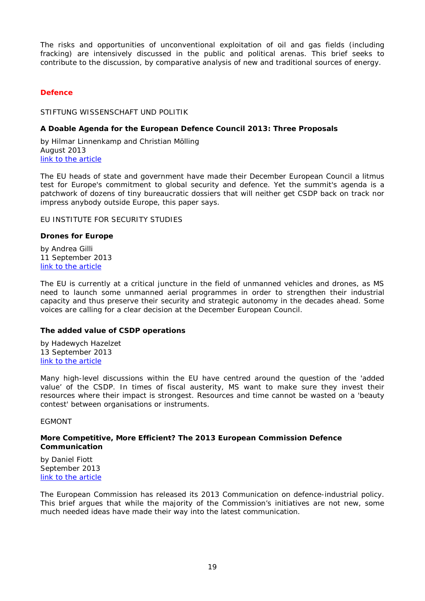The risks and opportunities of unconventional exploitation of oil and gas fields (including fracking) are intensively discussed in the public and political arenas. This brief seeks to contribute to the discussion, by comparative analysis of new and traditional sources of energy.

# <span id="page-18-0"></span>*Defence*

<span id="page-18-1"></span>STIFTUNG WISSENSCHAFT UND POLITIK

# <span id="page-18-2"></span>**A Doable Agenda for the European Defence Council 2013: Three Proposals**

by Hilmar Linnenkamp and Christian Mölling August 2013 [link to the article](http://www.swp-berlin.org/fileadmin/contents/products/comments/2013C28_lnk_mlg.pdf)

The EU heads of state and government have made their December European Council a litmus test for Europe's commitment to global security and defence. Yet the summit's agenda is a patchwork of dozens of tiny bureaucratic dossiers that will neither get CSDP back on track nor impress anybody outside Europe, this paper says.

# <span id="page-18-3"></span>EU INSTITUTE FOR SECURITY STUDIES

# <span id="page-18-4"></span>**Drones for Europe**

by Andrea Gilli 11 September 2013 [link to the article](http://www.iss.europa.eu/uploads/media/Brief_29.pdf)

The EU is currently at a critical juncture in the field of unmanned vehicles and drones, as MS need to launch some unmanned aerial programmes in order to strengthen their industrial capacity and thus preserve their security and strategic autonomy in the decades ahead. Some voices are calling for a clear decision at the December European Council.

# <span id="page-18-5"></span>**The added value of CSDP operations**

by Hadewych Hazelzet 13 September 2013 [link to the article](http://www.iss.europa.eu/uploads/media/Brief_31.pdf)

Many high-level discussions within the EU have centred around the question of the 'added value' of the CSDP. In times of fiscal austerity, MS want to make sure they invest their resources where their impact is strongest. Resources and time cannot be wasted on a 'beauty contest' between organisations or instruments.

# <span id="page-18-6"></span>**EGMONT**

#### <span id="page-18-7"></span>**More Competitive, More Efficient? The 2013 European Commission Defence Communication**

by Daniel Fiott September 2013 [link to the article](http://www.egmontinstitute.be/papers/13/sec-gov/SPB49.pdf)

The European Commission has released its 2013 Communication on defence-industrial policy. This brief argues that while the majority of the Commission's initiatives are not new, some much needed ideas have made their way into the latest communication.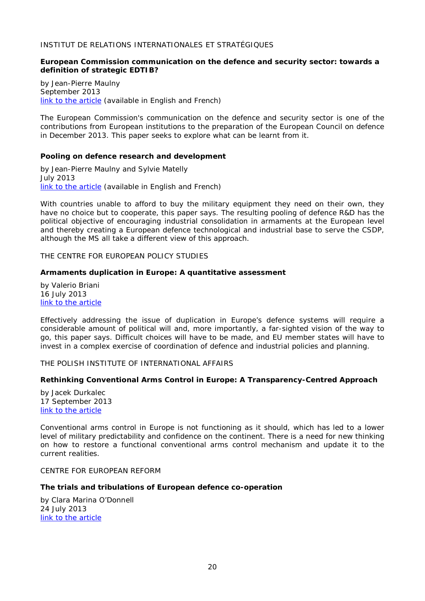# <span id="page-19-0"></span>INSTITUT DE RELATIONS INTERNATIONALES ET STRATÉGIQUES

#### <span id="page-19-1"></span>**European Commission communication on the defence and security sector: towards a definition of strategic EDTIB?**

by Jean-Pierre Maulny September 2013 [link to the article](http://www.iris-france.org/docs/kfm_docs/docs/com-ce-secteur-dfense-eng.pdf) (available in English and French)

The European Commission's communication on the defence and security sector is one of the contributions from European institutions to the preparation of the European Council on defence in December 2013. This paper seeks to explore what can be learnt from it.

#### <span id="page-19-2"></span>**Pooling on defence research and development**

by Jean-Pierre Maulny and Sylvie Matelly July 2013 [link to the article](http://www.iris-france.org/docs/kfm_docs/docs/archives/2013-07-22-ecodef-en.pdf) (available in English and French)

With countries unable to afford to buy the military equipment they need on their own, they have no choice but to cooperate, this paper says. The resulting pooling of defence R&D has the political objective of encouraging industrial consolidation in armaments at the European level and thereby creating a European defence technological and industrial base to serve the CSDP, although the MS all take a different view of this approach.

<span id="page-19-3"></span>THE CENTRE FOR EUROPEAN POLICY STUDIES

#### <span id="page-19-4"></span>**Armaments duplication in Europe: A quantitative assessment**

by Valerio Briani 16 July 2013 [link to the article](http://www.ceps.be/book/armaments-duplication-europe-quantitative-assessment)

Effectively addressing the issue of duplication in Europe's defence systems will require a considerable amount of political will and, more importantly, a far-sighted vision of the way to go, this paper says. Difficult choices will have to be made, and EU member states will have to invest in a complex exercise of coordination of defence and industrial policies and planning.

# <span id="page-19-5"></span>THE POLISH INSTITUTE OF INTERNATIONAL AFFAIRS

# <span id="page-19-6"></span>**Rethinking Conventional Arms Control in Europe: A Transparency-Centred Approach**

by Jacek Durkalec 17 September 2013 [link to the article](http://www.pism.pl/files/?id_plik=14655)

Conventional arms control in Europe is not functioning as it should, which has led to a lower level of military predictability and confidence on the continent. There is a need for new thinking on how to restore a functional conventional arms control mechanism and update it to the current realities.

#### <span id="page-19-7"></span>CENTRE FOR EUROPEAN REFORM

#### <span id="page-19-8"></span>**The trials and tribulations of European defence co-operation**

by Clara Marina O'Donnell 24 July 2013 [link to the article](http://www.cer.org.uk/sites/default/files/publications/attachments/pdf/2013/pbrief_trialstrib_24july13-7692.pdf)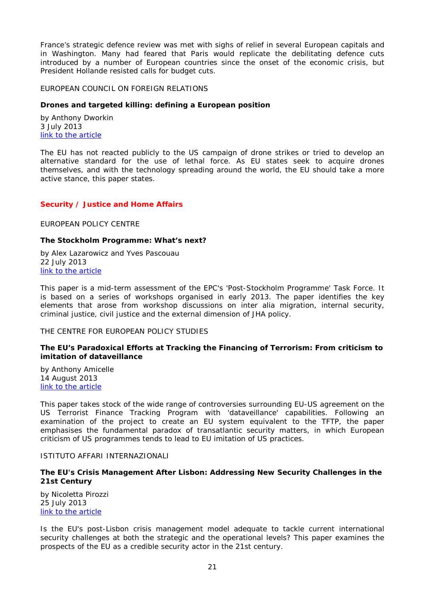France's strategic defence review was met with sighs of relief in several European capitals and in Washington. Many had feared that Paris would replicate the debilitating defence cuts introduced by a number of European countries since the onset of the economic crisis, but President Hollande resisted calls for budget cuts.

#### <span id="page-20-0"></span>EUROPEAN COUNCIL ON FOREIGN RELATIONS

#### <span id="page-20-1"></span>**Drones and targeted killing: defining a European position**

by Anthony Dworkin 3 July 2013 [link to the article](http://ecfr.eu/page/-/ECFR84_DRONES_BRIEF.pdf)

The EU has not reacted publicly to the US campaign of drone strikes or tried to develop an alternative standard for the use of lethal force. As EU states seek to acquire drones themselves, and with the technology spreading around the world, the EU should take a more active stance, this paper states.

# <span id="page-20-2"></span>*Security / Justice and Home Affairs*

<span id="page-20-3"></span>EUROPEAN POLICY CENTRE

#### <span id="page-20-4"></span>**The Stockholm Programme: What's next?**

by Alex Lazarowicz and Yves Pascouau 22 July 2013 [link to the article](http://www.epc.eu/documents/uploads/pub_3671_the_stockholm_programme.pdf)

This paper is a mid-term assessment of the EPC's 'Post-Stockholm Programme' Task Force. It is based on a series of workshops organised in early 2013. The paper identifies the key elements that arose from workshop discussions on inter alia migration, internal security, criminal justice, civil justice and the external dimension of JHA policy.

#### <span id="page-20-5"></span>THE CENTRE FOR EUROPEAN POLICY STUDIES

# <span id="page-20-6"></span>**The EU's Paradoxical Efforts at Tracking the Financing of Terrorism: From criticism to imitation of dataveillance**

by Anthony Amicelle 14 August 2013 [link to the article](http://www.ceps.be/book/eu%E2%80%99s-paradoxical-efforts-tracking-financing-terrorism-criticism-imitation-dataveillance)

This paper takes stock of the wide range of controversies surrounding EU-US agreement on the US Terrorist Finance Tracking Program with 'dataveillance' capabilities. Following an examination of the project to create an EU system equivalent to the TFTP, the paper emphasises the fundamental paradox of transatlantic security matters, in which European criticism of US programmes tends to lead to EU imitation of US practices.

## <span id="page-20-7"></span>ISTITUTO AFFARI INTERNAZIONALI

# <span id="page-20-8"></span>**The EU's Crisis Management After Lisbon: Addressing New Security Challenges in the 21st Century**

by Nicoletta Pirozzi 25 July 2013 [link to the article](http://www.iai.it/pdf/DocIAI/iaiwp1326.pdf)

Is the EU's post-Lisbon crisis management model adequate to tackle current international security challenges at both the strategic and the operational levels? This paper examines the prospects of the EU as a credible security actor in the 21st century.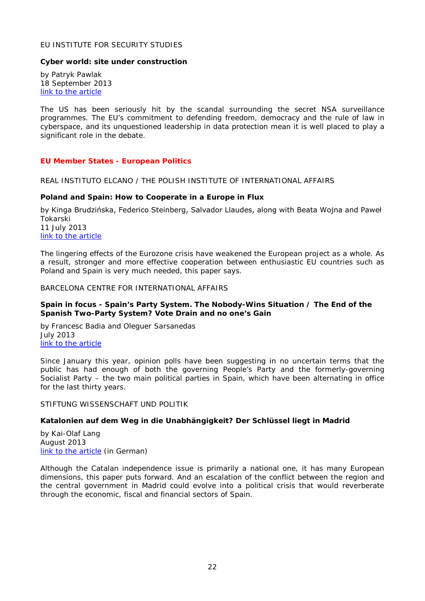# <span id="page-21-0"></span>EU INSTITUTE FOR SECURITY STUDIES

#### <span id="page-21-1"></span>**Cyber world: site under construction**

by Patryk Pawlak 18 September 2013 [link to the article](http://www.iss.europa.eu/uploads/media/Brief_32.pdf)

The US has been seriously hit by the scandal surrounding the secret NSA surveillance programmes. The EU's commitment to defending freedom, democracy and the rule of law in cyberspace, and its unquestioned leadership in data protection mean it is well placed to play a significant role in the debate.

#### <span id="page-21-2"></span>*EU Member States - European Politics*

<span id="page-21-3"></span>REAL INSTITUTO ELCANO / THE POLISH INSTITUTE OF INTERNATIONAL AFFAIRS

#### <span id="page-21-4"></span>**Poland and Spain: How to Cooperate in a Europe in Flux**

by Kinga Brudzińska, Federico Steinberg, Salvador Llaudes, along with Beata Wojna and Paweł Tokarski 11 July 2013 [link to the article](http://www.realinstitutoelcano.org/wps/wcm/connect/4a6ac500404d7558a0ebe1906ffb1a66/Elcano-PolicyPaper-Poland-Spain-Cooperation-Europe-in-Flux.pdf?MOD=AJPERES&CACHEID=4a6ac500404d7558a0ebe1906ffb1a66)

The lingering effects of the Eurozone crisis have weakened the European project as a whole. As a result, stronger and more effective cooperation between enthusiastic EU countries such as Poland and Spain is very much needed, this paper says.

#### <span id="page-21-5"></span>BARCELONA CENTRE FOR INTERNATIONAL AFFAIRS

#### <span id="page-21-6"></span>**Spain in focus - Spain's Party System. The Nobody-Wins Situation / The End of the Spanish Two-Party System? Vote Drain and no one's Gain**

by Francesc Badia and Oleguer Sarsanedas July 2013 [link to the article](http://www.cidob.org/en/publications/spain_in_focus/july_2013/spain_in_focus_july_2013)

Since January this year, opinion polls have been suggesting in no uncertain terms that the public has had enough of both the governing People's Party and the formerly-governing Socialist Party – the two main political parties in Spain, which have been alternating in office for the last thirty years.

<span id="page-21-7"></span>STIFTUNG WISSENSCHAFT UND POLITIK

#### <span id="page-21-8"></span>**Katalonien auf dem Weg in die Unabhängigkeit? Der Schlüssel liegt in Madrid**

by Kai-Olaf Lang August 2013 [link to the article](http://www.swp-berlin.org/fileadmin/contents/products/aktuell/2013A50_lng.pdf) (in German)

Although the Catalan independence issue is primarily a national one, it has many European dimensions, this paper puts forward. And an escalation of the conflict between the region and the central government in Madrid could evolve into a political crisis that would reverberate through the economic, fiscal and financial sectors of Spain.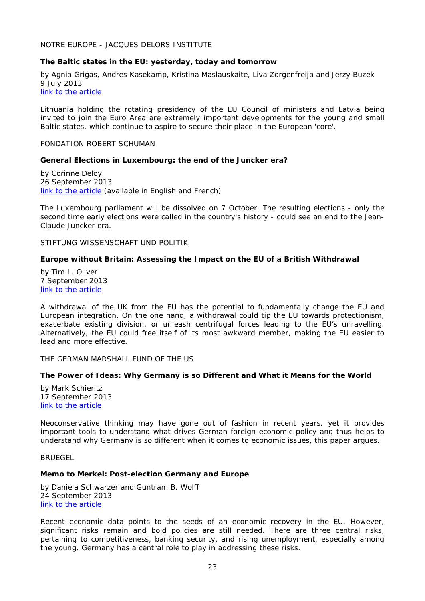<span id="page-22-0"></span>NOTRE EUROPE - JACQUES DELORS INSTITUTE

#### <span id="page-22-1"></span>**The Baltic states in the EU: yesterday, today and tomorrow**

by Agnia Grigas, Andres Kasekamp, Kristina Maslauskaite, Liva Zorgenfreija and Jerzy Buzek 9 July 2013 [link to the article](http://www.notre-europe.eu/media/balticstateseu-grigaskasekampmaslauskaitezorgenfreija-ne-jdi-july13.pdf)

Lithuania holding the rotating presidency of the EU Council of ministers and Latvia being invited to join the Euro Area are extremely important developments for the young and small Baltic states, which continue to aspire to secure their place in the European 'core'.

#### <span id="page-22-2"></span>FONDATION ROBERT SCHUMAN

#### <span id="page-22-3"></span>**General Elections in Luxembourg: the end of the Juncker era?**

by Corinne Deloy 26 September 2013 [link to the article](http://www.robert-schuman.eu/en/doc/oee/oee-1461-en.pdf) (available in English and French)

The Luxembourg parliament will be dissolved on 7 October. The resulting elections - only the second time early elections were called in the country's history - could see an end to the Jean-Claude Juncker era.

<span id="page-22-4"></span>STIFTUNG WISSENSCHAFT UND POLITIK

# <span id="page-22-5"></span>**Europe without Britain: Assessing the Impact on the EU of a British Withdrawal**

by Tim L. Oliver 7 September 2013 [link to the article](http://www.swp-berlin.org/fileadmin/contents/products/research_papers/2013_RP07_olv.pdf)

A withdrawal of the UK from the EU has the potential to fundamentally change the EU and European integration. On the one hand, a withdrawal could tip the EU towards protectionism, exacerbate existing division, or unleash centrifugal forces leading to the EU's unravelling. Alternatively, the EU could free itself of its most awkward member, making the EU easier to lead and more effective.

<span id="page-22-6"></span>THE GERMAN MARSHALL FUND OF THE US

# <span id="page-22-7"></span>**The Power of Ideas: Why Germany is so Different and What it Means for the World**

by Mark Schieritz 17 September 2013 [link to the article](http://www.gmfus.org/wp-content/blogs.dir/1/files_mf/1379816516Schieritz_PowerofIdeas_Sep13.pdf)

Neoconservative thinking may have gone out of fashion in recent years, yet it provides important tools to understand what drives German foreign economic policy and thus helps to understand why Germany is so different when it comes to economic issues, this paper argues.

<span id="page-22-8"></span>**BRUEGEL** 

#### <span id="page-22-9"></span>**Memo to Merkel: Post-election Germany and Europe**

by Daniela Schwarzer and Guntram B. Wolff 24 September 2013 [link to the article](http://www.bruegel.org/publications/publication-detail/publication/794-memo-to-merkel-post-election-germany-and-europe/)

Recent economic data points to the seeds of an economic recovery in the EU. However, significant risks remain and bold policies are still needed. There are three central risks, pertaining to competitiveness, banking security, and rising unemployment, especially among the young. Germany has a central role to play in addressing these risks.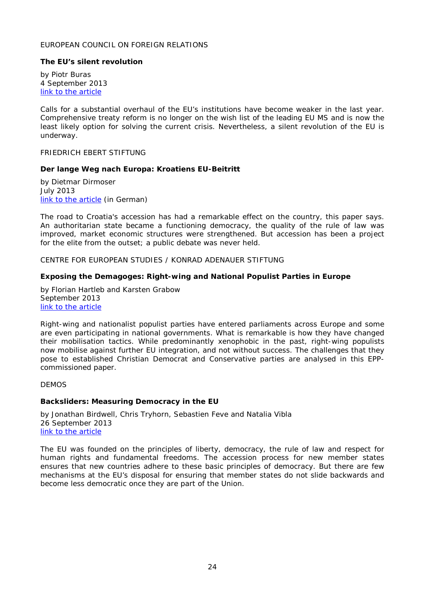## <span id="page-23-0"></span>EUROPEAN COUNCIL ON FOREIGN RELATIONS

# <span id="page-23-1"></span>**The EU's silent revolution**

by Piotr Buras 4 September 2013 [link to the article](http://ecfr.eu/page/-/ECFR87_EU_SILENT_REVOLUTION_AW.pdf)

Calls for a substantial overhaul of the EU's institutions have become weaker in the last year. Comprehensive treaty reform is no longer on the wish list of the leading EU MS and is now the least likely option for solving the current crisis. Nevertheless, a silent revolution of the EU is underway.

<span id="page-23-2"></span>FRIEDRICH EBERT STIFTUNG

#### <span id="page-23-3"></span>**Der lange Weg nach Europa: Kroatiens EU-Beitritt**

by Dietmar Dirmoser July 2013 [link to the article](http://library.fes.de/pdf-files/id/10148.pdf) (in German)

The road to Croatia's accession has had a remarkable effect on the country, this paper says. An authoritarian state became a functioning democracy, the quality of the rule of law was improved, market economic structures were strengthened. But accession has been a project for the elite from the outset; a public debate was never held.

<span id="page-23-4"></span>CENTRE FOR EUROPEAN STUDIES / KONRAD ADENAUER STIFTUNG

#### <span id="page-23-5"></span>**Exposing the Demagoges: Right-wing and National Populist Parties in Europe**

by Florian Hartleb and Karsten Grabow September 2013 [link to the article](http://thinkingeurope.eu/sites/default/files/publication-files/kas-populism_-_final.pdf)

Right-wing and nationalist populist parties have entered parliaments across Europe and some are even participating in national governments. What is remarkable is how they have changed their mobilisation tactics. While predominantly xenophobic in the past, right-wing populists now mobilise against further EU integration, and not without success. The challenges that they pose to established Christian Democrat and Conservative parties are analysed in this EPPcommissioned paper.

<span id="page-23-6"></span>DEMOS

#### <span id="page-23-7"></span>**Backsliders: Measuring Democracy in the EU**

by Jonathan Birdwell, Chris Tryhorn, Sebastien Feve and Natalia Vibla 26 September 2013 [link to the article](http://www.demos.co.uk/files/DEMOS_Backsliders_report_web_version.pdf)

The EU was founded on the principles of liberty, democracy, the rule of law and respect for human rights and fundamental freedoms. The accession process for new member states ensures that new countries adhere to these basic principles of democracy. But there are few mechanisms at the EU's disposal for ensuring that member states do not slide backwards and become less democratic once they are part of the Union.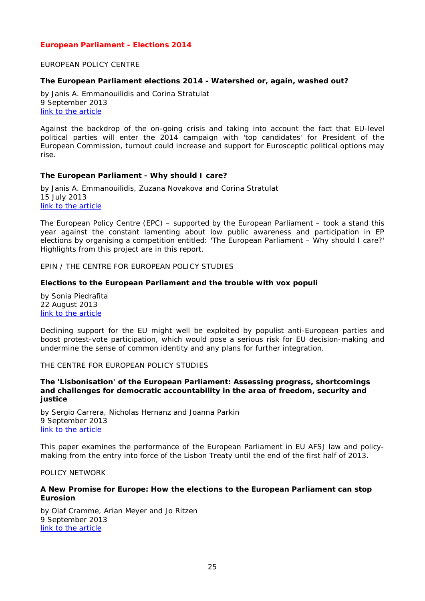# <span id="page-24-0"></span>*European Parliament - Elections 2014*

#### <span id="page-24-1"></span>EUROPEAN POLICY CENTRE

#### <span id="page-24-2"></span>**The European Parliament elections 2014 - Watershed or, again, washed out?**

by Janis A. Emmanouilidis and Corina Stratulat 9 September 2013 [link to the article](http://www.epc.eu/documents/uploads/pub_3699_ep_elections_2014.pdf)

Against the backdrop of the on-going crisis and taking into account the fact that EU-level political parties will enter the 2014 campaign with 'top candidates' for President of the European Commission, turnout could increase and support for Eurosceptic political options may rise.

#### <span id="page-24-3"></span>**The European Parliament - Why should I care?**

by Janis A. Emmanouilidis, Zuzana Novakova and Corina Stratulat 15 July 2013 [link to the article](http://www.epc.eu/documents/uploads/pub_3672_competition_report.pdf)

The European Policy Centre (EPC) – supported by the European Parliament – took a stand this year against the constant lamenting about low public awareness and participation in EP elections by organising a competition entitled: 'The European Parliament – Why should I care?' Highlights from this project are in this report.

<span id="page-24-4"></span>EPIN / THE CENTRE FOR EUROPEAN POLICY STUDIES

#### <span id="page-24-5"></span>**Elections to the European Parliament and the trouble with vox populi**

by Sonia Piedrafita 22 August 2013 [link to the article](http://www.ceps.be/book/elections-european-parliament-and-trouble-vox-populi)

Declining support for the EU might well be exploited by populist anti-European parties and boost protest-vote participation, which would pose a serious risk for EU decision-making and undermine the sense of common identity and any plans for further integration.

<span id="page-24-6"></span>THE CENTRE FOR EUROPEAN POLICY STUDIES

<span id="page-24-7"></span>**The 'Lisbonisation' of the European Parliament: Assessing progress, shortcomings and challenges for democratic accountability in the area of freedom, security and justice**

by Sergio Carrera, Nicholas Hernanz and Joanna Parkin 9 September 2013 [link to the article](http://www.ceps.be/book/%25E2%2580%2598lisbonisation%25E2%2580%2599-european-parliament-assessing-progress-shortcomings-and-challenges-democratic-a)

This paper examines the performance of the European Parliament in EU AFSJ law and policymaking from the entry into force of the Lisbon Treaty until the end of the first half of 2013.

#### <span id="page-24-8"></span>POLICY NETWORK

#### <span id="page-24-9"></span>**A New Promise for Europe: How the elections to the European Parliament can stop Eurosion**

by Olaf Cramme, Arian Meyer and Jo Ritzen 9 September 2013 [link to the article](http://www.policy-network.net/publications_detail.aspx?ID=4453)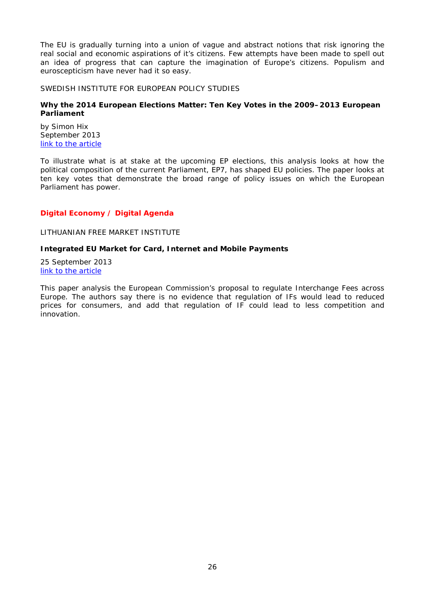The EU is gradually turning into a union of vague and abstract notions that risk ignoring the real social and economic aspirations of it's citizens. Few attempts have been made to spell out an idea of progress that can capture the imagination of Europe's citizens. Populism and euroscepticism have never had it so easy.

<span id="page-25-0"></span>SWEDISH INSTITUTE FOR EUROPEAN POLICY STUDIES

# <span id="page-25-1"></span>**Why the 2014 European Elections Matter: Ten Key Votes in the 2009–2013 European Parliament**

by Simon Hix September 2013 [link to the article](http://www.sieps.se/sites/default/files/2013_15epa.pdf)

To illustrate what is at stake at the upcoming EP elections, this analysis looks at how the political composition of the current Parliament, EP7, has shaped EU policies. The paper looks at ten key votes that demonstrate the broad range of policy issues on which the European Parliament has power.

# <span id="page-25-2"></span>*Digital Economy / Digital Agenda*

# <span id="page-25-3"></span>LITHUANIAN FREE MARKET INSTITUTE

# <span id="page-25-4"></span>**Integrated EU Market for Card, Internet and Mobile Payments**

25 September 2013 [link to the article](http://files.lrinka.lt/AM/LFMI_IF.pdf)

This paper analysis the European Commission's proposal to regulate Interchange Fees across Europe. The authors say there is no evidence that regulation of IFs would lead to reduced prices for consumers, and add that regulation of IF could lead to less competition and innovation.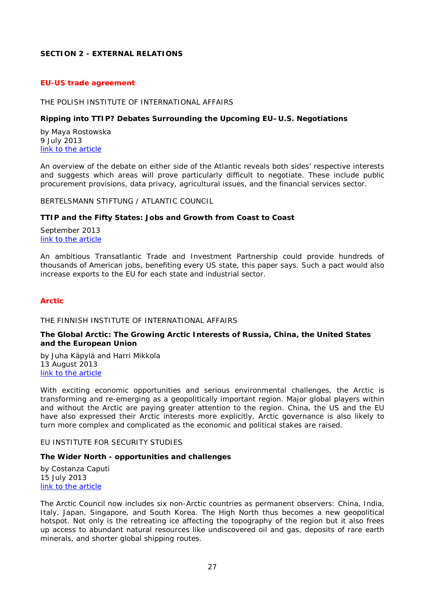# <span id="page-26-0"></span>**SECTION 2 - EXTERNAL RELATIONS**

#### <span id="page-26-1"></span>*EU-US trade agreement*

#### <span id="page-26-2"></span>THE POLISH INSTITUTE OF INTERNATIONAL AFFAIRS

#### <span id="page-26-3"></span>**Ripping into TTIP? Debates Surrounding the Upcoming EU–U.S. Negotiations**

by Maya Rostowska 9 July 2013 [link to the article](http://www.pism.pl/files/?id_plik=14298)

An overview of the debate on either side of the Atlantic reveals both sides' respective interests and suggests which areas will prove particularly difficult to negotiate. These include public procurement provisions, data privacy, agricultural issues, and the financial services sector.

<span id="page-26-4"></span>BERTELSMANN STIFTUNG / ATLANTIC COUNCIL

#### <span id="page-26-5"></span>**TTIP and the Fifty States: Jobs and Growth from Coast to Coast**

September 2013 [link to the article](http://www.bertelsmann-stiftung.de/cps/rde/xbcr/SID-D2B6D576-38A5E19B/bst_engl/xcms_bst_dms_38826_38827_2.pdf)

An ambitious Transatlantic Trade and Investment Partnership could provide hundreds of thousands of American jobs, benefiting every US state, this paper says. Such a pact would also increase exports to the EU for each state and industrial sector.

#### <span id="page-26-6"></span>*Arctic*

<span id="page-26-7"></span>THE FINNISH INSTITUTE OF INTERNATIONAL AFFAIRS

#### <span id="page-26-8"></span>**The Global Arctic: The Growing Arctic Interests of Russia, China, the United States and the European Union**

by Juha Käpylä and Harri Mikkola 13 August 2013 [link to the article](http://www.fiia.fi/en/publication/347/the_global_arctic/)

With exciting economic opportunities and serious environmental challenges, the Arctic is transforming and re-emerging as a geopolitically important region. Major global players within and without the Arctic are paying greater attention to the region. China, the US and the EU have also expressed their Arctic interests more explicitly. Arctic governance is also likely to turn more complex and complicated as the economic and political stakes are raised.

<span id="page-26-9"></span>EU INSTITUTE FOR SECURITY STUDIES

#### <span id="page-26-10"></span>**The Wider North - opportunities and challenges**

by Costanza Caputi 15 July 2013 [link to the article](http://www.iss.europa.eu/uploads/media/Brief_27.pdf)

The Arctic Council now includes six non-Arctic countries as permanent observers: China, India, Italy, Japan, Singapore, and South Korea. The High North thus becomes a new geopolitical hotspot. Not only is the retreating ice affecting the topography of the region but it also frees up access to abundant natural resources like undiscovered oil and gas, deposits of rare earth minerals, and shorter global shipping routes.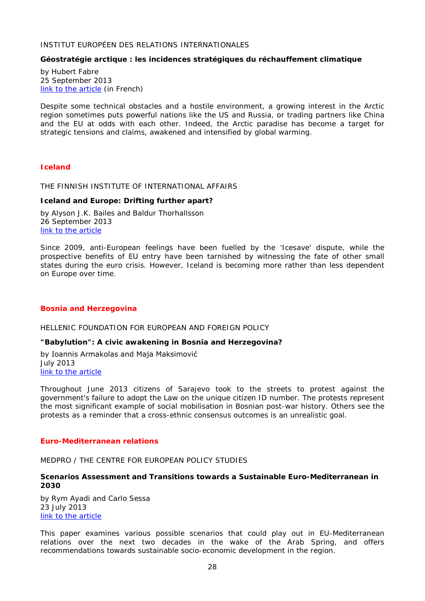#### <span id="page-27-0"></span>INSTITUT EUROPÉEN DES RELATIONS INTERNATIONALES

#### <span id="page-27-1"></span>**Géostratégie arctique : les incidences stratégiques du réchauffement climatique**

by Hubert Fabre 25 September 2013 [link to the article](http://www.ieri.be/sites/default/files/filefield/news/IERI%20WP-Géostratégie%20arctique%20HF-25-9-2013-.pdf) (in French)

Despite some technical obstacles and a hostile environment, a growing interest in the Arctic region sometimes puts powerful nations like the US and Russia, or trading partners like China and the EU at odds with each other. Indeed, the Arctic paradise has become a target for strategic tensions and claims, awakened and intensified by global warming.

# <span id="page-27-2"></span>*Iceland*

#### <span id="page-27-3"></span>THE FINNISH INSTITUTE OF INTERNATIONAL AFFAIRS

#### <span id="page-27-4"></span>**Iceland and Europe: Drifting further apart?**

by Alyson J.K. Bailes and Baldur Thorhallsson 26 September 2013 [link to the article](http://www.fiia.fi/en/publication/360/iceland_and_europe/)

Since 2009, anti-European feelings have been fuelled by the 'Icesave' dispute, while the prospective benefits of EU entry have been tarnished by witnessing the fate of other small states during the euro crisis. However, Iceland is becoming more rather than less dependent on Europe over time.

#### <span id="page-27-5"></span>*Bosnia and Herzegovina*

<span id="page-27-6"></span>HELLENIC FOUNDATION FOR EUROPEAN AND FOREIGN POLICY

#### <span id="page-27-7"></span>**"Babylution": A civic awakening in Bosnia and Herzegovina?**

by Ioannis Armakolas and Maja Maksimović July 2013 [link to the article](http://www.eliamep.gr/wp-content/uploads/2013/08/34_2013_-WORKING-PAPER-_Armakolas-12.pdf)

Throughout June 2013 citizens of Sarajevo took to the streets to protest against the government's failure to adopt the Law on the unique citizen ID number. The protests represent the most significant example of social mobilisation in Bosnian post-war history. Others see the protests as a reminder that a cross-ethnic consensus outcomes is an unrealistic goal.

#### <span id="page-27-8"></span>*Euro-Mediterranean relations*

<span id="page-27-9"></span>MEDPRO / THE CENTRE FOR EUROPEAN POLICY STUDIES

#### <span id="page-27-10"></span>**Scenarios Assessment and Transitions towards a Sustainable Euro-Mediterranean in 2030**

by Rym Ayadi and Carlo Sessa 23 July 2013 [link to the article](http://www.medpro-foresight.eu/publication/scenarios-assessment-and-transitions-towards-sustainable-euro-mediterranean-2030)

This paper examines various possible scenarios that could play out in EU-Mediterranean relations over the next two decades in the wake of the Arab Spring, and offers recommendations towards sustainable socio-economic development in the region.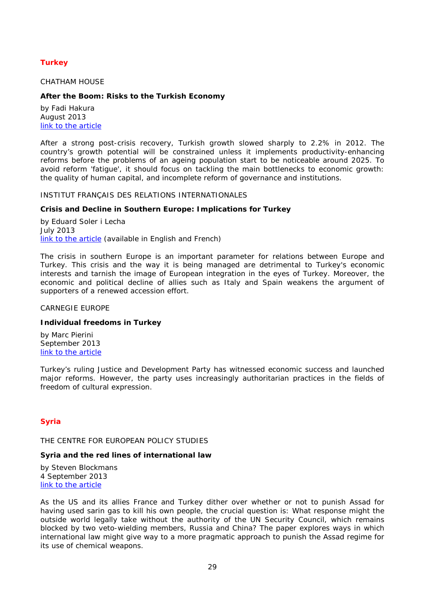# <span id="page-28-0"></span>*Turkey*

#### <span id="page-28-1"></span>CHATHAM HOUSE

# <span id="page-28-2"></span>**After the Boom: Risks to the Turkish Economy**

by Fadi Hakura August 2013 [link to the article](http://www.chathamhouse.org/sites/default/files/public/Research/Europe/0813bp_turkey.pdf)

After a strong post-crisis recovery, Turkish growth slowed sharply to 2.2% in 2012. The country's growth potential will be constrained unless it implements productivity-enhancing reforms before the problems of an ageing population start to be noticeable around 2025. To avoid reform 'fatigue', it should focus on tackling the main bottlenecks to economic growth: the quality of human capital, and incomplete reform of governance and institutions.

#### <span id="page-28-3"></span>INSTITUT FRANÇAIS DES RELATIONS INTERNATIONALES

#### <span id="page-28-4"></span>**Crisis and Decline in Southern Europe: Implications for Turkey**

by Eduard Soler i Lecha July 2013 [link to the article](http://www.ifri.org/index.php?page=contribution-detail&id=7773&id_provenance=97&lang=uk) (available in English and French)

The crisis in southern Europe is an important parameter for relations between Europe and Turkey. This crisis and the way it is being managed are detrimental to Turkey's economic interests and tarnish the image of European integration in the eyes of Turkey. Moreover, the economic and political decline of allies such as Italy and Spain weakens the argument of supporters of a renewed accession effort.

<span id="page-28-5"></span>CARNEGIE EUROPE

#### <span id="page-28-6"></span>**Individual freedoms in Turkey**

by Marc Pierini September 2013 [link to the article](http://carnegieendowment.org/files/individual_freedoms_turkey.pdf)

Turkey's ruling Justice and Development Party has witnessed economic success and launched major reforms. However, the party uses increasingly authoritarian practices in the fields of freedom of cultural expression.

# <span id="page-28-8"></span><span id="page-28-7"></span>*Syria*

THE CENTRE FOR EUROPEAN POLICY STUDIES

#### <span id="page-28-9"></span>**Syria and the red lines of international law**

by Steven Blockmans 4 September 2013 [link to the article](http://www.ceps.be/book/syria-and-red-lines-international-law)

As the US and its allies France and Turkey dither over whether or not to punish Assad for having used sarin gas to kill his own people, the crucial question is: What response might the outside world legally take without the authority of the UN Security Council, which remains blocked by two veto-wielding members, Russia and China? The paper explores ways in which international law might give way to a more pragmatic approach to punish the Assad regime for its use of chemical weapons.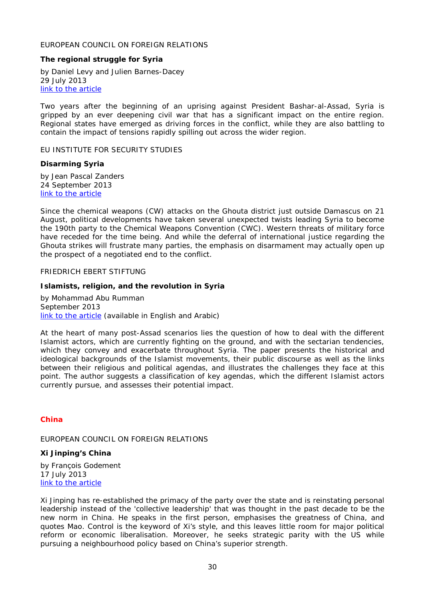## <span id="page-29-0"></span>EUROPEAN COUNCIL ON FOREIGN RELATIONS

#### <span id="page-29-1"></span>**The regional struggle for Syria**

by Daniel Levy and Julien Barnes-Dacey 29 July 2013 [link to the article](http://ecfr.eu/page/-/ECFR86_SYRIA_REPORT.pdf)

Two years after the beginning of an uprising against President Bashar-al-Assad, Syria is gripped by an ever deepening civil war that has a significant impact on the entire region. Regional states have emerged as driving forces in the conflict, while they are also battling to contain the impact of tensions rapidly spilling out across the wider region.

<span id="page-29-2"></span>EU INSTITUTE FOR SECURITY STUDIES

#### <span id="page-29-3"></span>**Disarming Syria**

by Jean Pascal Zanders 24 September 2013 [link to the article](http://www.iss.europa.eu/uploads/media/Brief_33.pdf)

Since the chemical weapons (CW) attacks on the Ghouta district just outside Damascus on 21 August, political developments have taken several unexpected twists leading Syria to become the 190th party to the Chemical Weapons Convention (CWC). Western threats of military force have receded for the time being. And while the deferral of international justice regarding the Ghouta strikes will frustrate many parties, the emphasis on disarmament may actually open up the prospect of a negotiated end to the conflict.

#### <span id="page-29-4"></span>FRIEDRICH EBERT STIFTUNG

#### <span id="page-29-5"></span>**Islamists, religion, and the revolution in Syria**

by Mohammad Abu Rumman September 2013 [link to the article](http://library.fes.de/pdf-files/bueros/amman/10236.pdf) (available in English and Arabic)

At the heart of many post-Assad scenarios lies the question of how to deal with the different Islamist actors, which are currently fighting on the ground, and with the sectarian tendencies, which they convey and exacerbate throughout Syria. The paper presents the historical and ideological backgrounds of the Islamist movements, their public discourse as well as the links between their religious and political agendas, and illustrates the challenges they face at this point. The author suggests a classification of key agendas, which the different Islamist actors currently pursue, and assesses their potential impact.

## <span id="page-29-6"></span>*China*

#### <span id="page-29-7"></span>EUROPEAN COUNCIL ON FOREIGN RELATIONS

# <span id="page-29-8"></span>**Xi Jinping's China**

by François Godement 17 July 2013 [link to the article](http://ecfr.eu/page/-/ECFR85_XI_JINPING_CHINA_ESSAY_AW.pdf)

Xi Jinping has re-established the primacy of the party over the state and is reinstating personal leadership instead of the 'collective leadership' that was thought in the past decade to be the new norm in China. He speaks in the first person, emphasises the greatness of China, and quotes Mao. Control is the keyword of Xi's style, and this leaves little room for major political reform or economic liberalisation. Moreover, he seeks strategic parity with the US while pursuing a neighbourhood policy based on China's superior strength.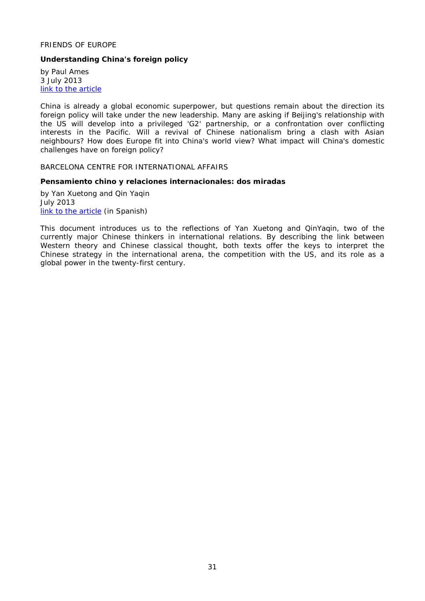# <span id="page-30-0"></span>FRIENDS OF EUROPE

# <span id="page-30-1"></span>**Understanding China's foreign policy**

by Paul Ames 3 July 2013 [link to the article](http://www.friendsofeurope.org/Portals/13/Documents/Reports/2013/FoE_Report_CC_China-foreign-policy_2013.pdf)

China is already a global economic superpower, but questions remain about the direction its foreign policy will take under the new leadership. Many are asking if Beijing's relationship with the US will develop into a privileged 'G2' partnership, or a confrontation over conflicting interests in the Pacific. Will a revival of Chinese nationalism bring a clash with Asian neighbours? How does Europe fit into China's world view? What impact will China's domestic challenges have on foreign policy?

<span id="page-30-2"></span>BARCELONA CENTRE FOR INTERNATIONAL AFFAIRS

#### <span id="page-30-3"></span>**Pensamiento chino y relaciones internacionales: dos miradas**

by Yan Xuetong and Qin Yaqin July 2013 [link to the article](http://www.cidob.org/en/publications/documents/asia/pensamiento_chino_y_relaciones_internacionales_dos_miradas) (in Spanish)

This document introduces us to the reflections of Yan Xuetong and QinYaqin, two of the currently major Chinese thinkers in international relations. By describing the link between Western theory and Chinese classical thought, both texts offer the keys to interpret the Chinese strategy in the international arena, the competition with the US, and its role as a global power in the twenty-first century.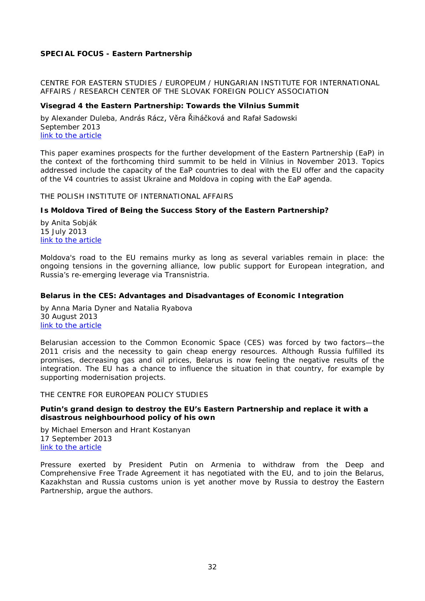# <span id="page-31-0"></span>**SPECIAL FOCUS - Eastern Partnership**

<span id="page-31-1"></span>CENTRE FOR EASTERN STUDIES / EUROPEUM / HUNGARIAN INSTITUTE FOR INTERNATIONAL AFFAIRS / RESEARCH CENTER OF THE SLOVAK FOREIGN POLICY ASSOCIATION

#### <span id="page-31-2"></span>**Visegrad 4 the Eastern Partnership: Towards the Vilnius Summit**

by Alexander Duleba, András Rácz, Věra Řiháčková and Rafał Sadowski September 2013 [link to the article](http://www.europeum.org/images/paper/paper_v4_eap.pdf)

This paper examines prospects for the further development of the Eastern Partnership (EaP) in the context of the forthcoming third summit to be held in Vilnius in November 2013. Topics addressed include the capacity of the EaP countries to deal with the EU offer and the capacity of the V4 countries to assist Ukraine and Moldova in coping with the EaP agenda.

<span id="page-31-3"></span>THE POLISH INSTITUTE OF INTERNATIONAL AFFAIRS

#### <span id="page-31-4"></span>**Is Moldova Tired of Being the Success Story of the Eastern Partnership?**

by Anita Sobják 15 July 2013 [link to the article](http://www.pism.pl/files/?id_plik=14343)

Moldova's road to the EU remains murky as long as several variables remain in place: the ongoing tensions in the governing alliance, low public support for European integration, and Russia's re-emerging leverage via Transnistria.

#### <span id="page-31-5"></span>**Belarus in the CES: Advantages and Disadvantages of Economic Integration**

by Anna Maria Dyner and Natalia Ryabova 30 August 2013 [link to the article](http://www.pism.pl/files/?id_plik=14504)

Belarusian accession to the Common Economic Space (CES) was forced by two factors—the 2011 crisis and the necessity to gain cheap energy resources. Although Russia fulfilled its promises, decreasing gas and oil prices, Belarus is now feeling the negative results of the integration. The EU has a chance to influence the situation in that country, for example by supporting modernisation projects.

<span id="page-31-6"></span>THE CENTRE FOR EUROPEAN POLICY STUDIES

# <span id="page-31-7"></span>**Putin's grand design to destroy the EU's Eastern Partnership and replace it with a disastrous neighbourhood policy of his own**

by Michael Emerson and Hrant Kostanyan 17 September 2013 [link to the article](http://www.ceps.be/book/putin%E2%80%99s-grand-design-destroy-eu%E2%80%99s-eastern-partnership-and-replace-it-disastrous-neighbourhood-p)

Pressure exerted by President Putin on Armenia to withdraw from the Deep and Comprehensive Free Trade Agreement it has negotiated with the EU, and to join the Belarus, Kazakhstan and Russia customs union is yet another move by Russia to destroy the Eastern Partnership, argue the authors.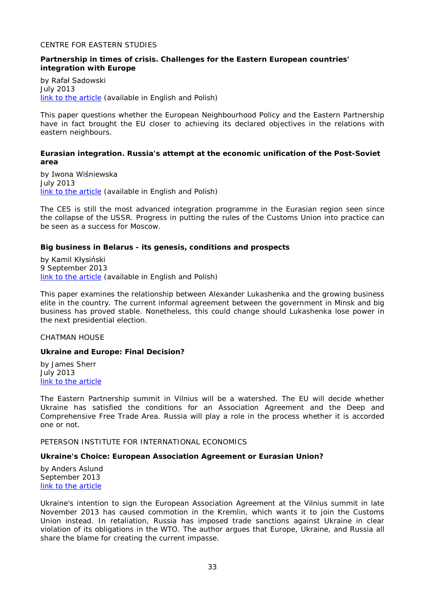#### <span id="page-32-0"></span>CENTRE FOR EASTERN STUDIES

#### <span id="page-32-1"></span>**Partnership in times of crisis. Challenges for the Eastern European countries' integration with Europe**

by Rafał Sadowski July 2013 [link to the article](http://www.osw.waw.pl/sites/default/files/pw_36_en_partnership_net.pdf) (available in English and Polish)

This paper questions whether the European Neighbourhood Policy and the Eastern Partnership have in fact brought the EU closer to achieving its declared objectives in the relations with eastern neighbours.

#### <span id="page-32-2"></span>**Eurasian integration. Russia's attempt at the economic unification of the Post-Soviet area**

by Iwona Wiśniewska July 2013 [link to the article](http://www.osw.waw.pl/sites/default/files/prace_44_eurasian-integration_net.pdf) (available in English and Polish)

The CES is still the most advanced integration programme in the Eurasian region seen since the collapse of the USSR. Progress in putting the rules of the Customs Union into practice can be seen as a success for Moscow.

#### <span id="page-32-3"></span>**Big business in Belarus - its genesis, conditions and prospects**

by Kamil Kłysiński 9 September 2013 [link to the article](http://www.osw.waw.pl/sites/default/files/commentary_113.pdf) (available in English and Polish)

This paper examines the relationship between Alexander Lukashenka and the growing business elite in the country. The current informal agreement between the government in Minsk and big business has proved stable. Nonetheless, this could change should Lukashenka lose power in the next presidential election.

#### <span id="page-32-4"></span>CHATMAN HOUSE

#### <span id="page-32-5"></span>**Ukraine and Europe: Final Decision?**

by James Sherr July 2013 [link to the article](http://www.chathamhouse.org/sites/default/files/public/Research/Russia%20and%20Eurasia/0713pp_sherr.pdf)

The Eastern Partnership summit in Vilnius will be a watershed. The EU will decide whether Ukraine has satisfied the conditions for an Association Agreement and the Deep and Comprehensive Free Trade Area. Russia will play a role in the process whether it is accorded one or not.

<span id="page-32-6"></span>PETERSON INSTITUTE FOR INTERNATIONAL ECONOMICS

#### <span id="page-32-7"></span>**Ukraine's Choice: European Association Agreement or Eurasian Union?**

by Anders Aslund September 2013 [link to the article](http://www.iie.com/publications/pb/pb13-22.pdf)

Ukraine's intention to sign the European Association Agreement at the Vilnius summit in late November 2013 has caused commotion in the Kremlin, which wants it to join the Customs Union instead. In retaliation, Russia has imposed trade sanctions against Ukraine in clear violation of its obligations in the WTO. The author argues that Europe, Ukraine, and Russia all share the blame for creating the current impasse.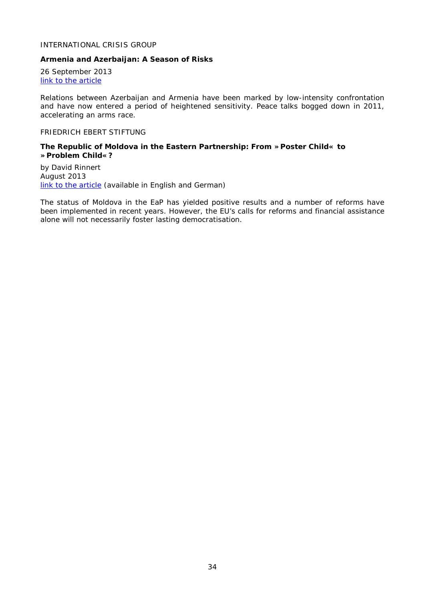# <span id="page-33-0"></span>INTERNATIONAL CRISIS GROUP

#### <span id="page-33-1"></span>**Armenia and Azerbaijan: A Season of Risks**

26 September 2013 [link to the article](http://www.crisisgroup.org/~/media/Files/europe/caucasus/b071-armenia-and-azerbaijan-a-season-of-risks.pdf)

Relations between Azerbaijan and Armenia have been marked by low-intensity confrontation and have now entered a period of heightened sensitivity. Peace talks bogged down in 2011, accelerating an arms race.

#### <span id="page-33-2"></span>FRIEDRICH EBERT STIFTUNG

#### <span id="page-33-3"></span>**The Republic of Moldova in the Eastern Partnership: From »Poster Child« to »Problem Child«?**

by David Rinnert August 2013 [link to the article](http://library.fes.de/pdf-files/id-moe/10184.pdf) (available in English and German)

The status of Moldova in the EaP has yielded positive results and a number of reforms have been implemented in recent years. However, the EU's calls for reforms and financial assistance alone will not necessarily foster lasting democratisation.